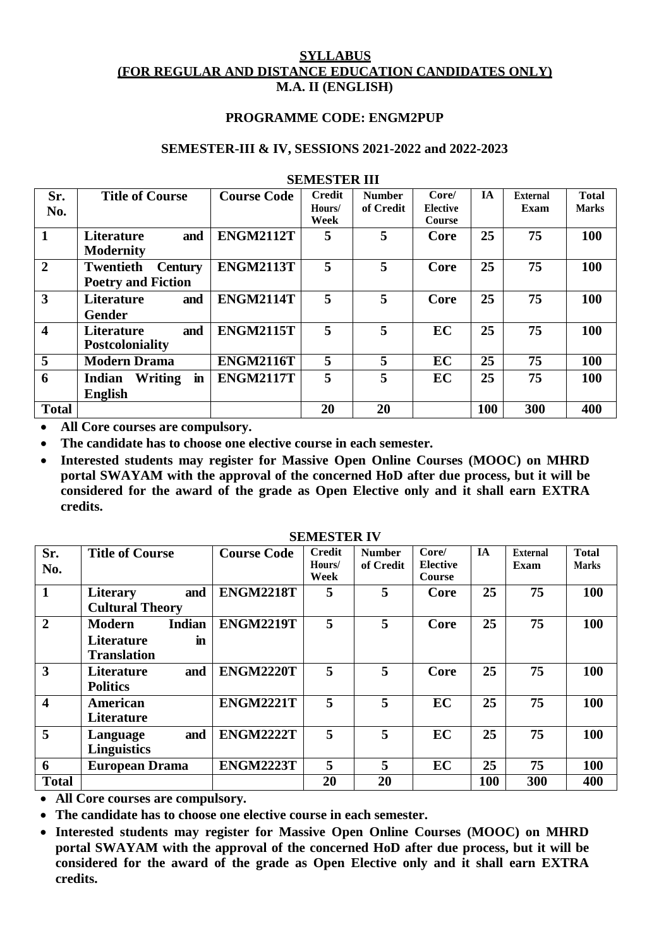## **SYLLABUS (FOR REGULAR AND DISTANCE EDUCATION CANDIDATES ONLY) M.A. II (ENGLISH)**

### **PROGRAMME CODE: ENGM2PUP**

#### **SEMESTER-III & IV, SESSIONS 2021-2022 and 2022-2023**

| Sr.                     | <b>Title of Course</b>             | <b>Course Code</b> | <b>Credit</b> | <b>Number</b> | Core/         | <b>IA</b> | <b>External</b> | <b>Total</b> |
|-------------------------|------------------------------------|--------------------|---------------|---------------|---------------|-----------|-----------------|--------------|
| No.                     |                                    |                    | Hours/        | of Credit     | Elective      |           | Exam            | <b>Marks</b> |
|                         |                                    |                    | Week          |               | <b>Course</b> |           |                 |              |
| $\mathbf{1}$            | and<br><b>Literature</b>           | <b>ENGM2112T</b>   | 5             | 5             | Core          | 25        | 75              | 100          |
|                         | <b>Modernity</b>                   |                    |               |               |               |           |                 |              |
| $\overline{2}$          | <b>Twentieth</b><br><b>Century</b> | <b>ENGM2113T</b>   | 5             | 5             | Core          | 25        | 75              | 100          |
|                         | <b>Poetry and Fiction</b>          |                    |               |               |               |           |                 |              |
| $\overline{3}$          | <b>Literature</b><br>and           | <b>ENGM2114T</b>   | 5             | 5             | Core          | 25        | 75              | 100          |
|                         | <b>Gender</b>                      |                    |               |               |               |           |                 |              |
| $\overline{\mathbf{4}}$ | and<br><b>Literature</b>           | <b>ENGM2115T</b>   | 5             | 5             | EC            | 25        | 75              | 100          |
|                         | Postcoloniality                    |                    |               |               |               |           |                 |              |
| $\overline{5}$          | <b>Modern Drama</b>                | <b>ENGM2116T</b>   | 5             | 5             | <b>EC</b>     | 25        | 75              | 100          |
| 6                       | Writing<br><b>Indian</b><br>in     | <b>ENGM2117T</b>   | 5             | 5             | <b>EC</b>     | 25        | 75              | 100          |
|                         | <b>English</b>                     |                    |               |               |               |           |                 |              |
| <b>Total</b>            |                                    |                    | 20            | 20            |               | 100       | 300             | 400          |

#### **SEMESTER III**

**All Core courses are compulsory.**

**The candidate has to choose one elective course in each semester.**

 **Interested students may register for Massive Open Online Courses (MOOC) on MHRD portal SWAYAM with the approval of the concerned HoD after due process, but it will be considered for the award of the grade as Open Elective only and it shall earn EXTRA credits.**

|                         |                                |                    | <u>DERIED I EIN I 1</u> |               |                 |           |                 |              |
|-------------------------|--------------------------------|--------------------|-------------------------|---------------|-----------------|-----------|-----------------|--------------|
| Sr.                     | <b>Title of Course</b>         | <b>Course Code</b> | <b>Credit</b>           | <b>Number</b> | Core/           | <b>IA</b> | <b>External</b> | <b>Total</b> |
| No.                     |                                |                    | Hours/                  | of Credit     | <b>Elective</b> |           | Exam            | <b>Marks</b> |
|                         |                                |                    | Week                    |               | Course          |           |                 |              |
| $\mathbf{1}$            | and<br><b>Literary</b>         | <b>ENGM2218T</b>   | 5                       | 5             | Core            | 25        | 75              | 100          |
|                         | <b>Cultural Theory</b>         |                    |                         |               |                 |           |                 |              |
| $\overline{2}$          | <b>Indian</b><br><b>Modern</b> | <b>ENGM2219T</b>   | 5                       | 5             | Core            | 25        | 75              | 100          |
|                         | Literature<br>in               |                    |                         |               |                 |           |                 |              |
|                         | <b>Translation</b>             |                    |                         |               |                 |           |                 |              |
| 3                       | and<br><b>Literature</b>       | <b>ENGM2220T</b>   | 5                       | 5             | Core            | 25        | 75              | 100          |
|                         | <b>Politics</b>                |                    |                         |               |                 |           |                 |              |
| $\overline{\mathbf{4}}$ | American                       | <b>ENGM2221T</b>   | 5                       | 5             | EC              | 25        | 75              | 100          |
|                         | Literature                     |                    |                         |               |                 |           |                 |              |
| 5                       | and<br>Language                | <b>ENGM2222T</b>   | 5                       | 5             | <b>EC</b>       | 25        | 75              | 100          |
|                         | <b>Linguistics</b>             |                    |                         |               |                 |           |                 |              |
| 6                       | <b>European Drama</b>          | <b>ENGM2223T</b>   | 5                       | 5             | EC              | 25        | 75              | 100          |
| <b>Total</b>            |                                |                    | 20                      | 20            |                 | 100       | 300             | 400          |

#### **SEMESTER IV**

**All Core courses are compulsory.**

**The candidate has to choose one elective course in each semester.**

 **Interested students may register for Massive Open Online Courses (MOOC) on MHRD portal SWAYAM with the approval of the concerned HoD after due process, but it will be considered for the award of the grade as Open Elective only and it shall earn EXTRA credits.**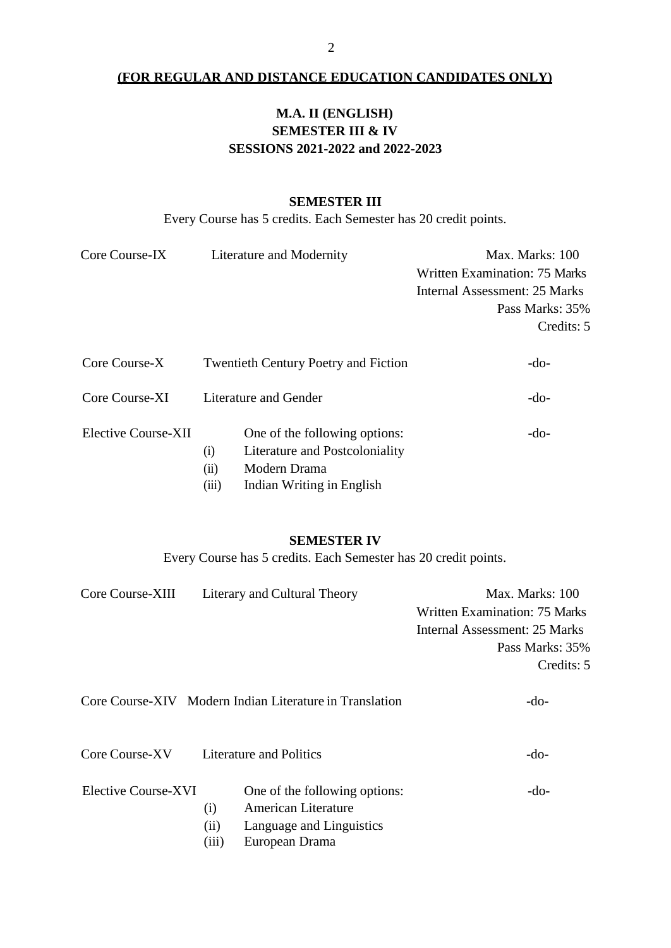## **(FOR REGULAR AND DISTANCE EDUCATION CANDIDATES ONLY)**

# **M.A. II (ENGLISH) SEMESTER III & IV SESSIONS 2021-2022 and 2022-2023**

## **SEMESTER III**

Every Course has 5 credits. Each Semester has 20 credit points.

| Core Course-IX      | Literature and Modernity                                                                       | Max. Marks: 100               |  |  |  |
|---------------------|------------------------------------------------------------------------------------------------|-------------------------------|--|--|--|
|                     |                                                                                                | Written Examination: 75 Marks |  |  |  |
|                     |                                                                                                | Internal Assessment: 25 Marks |  |  |  |
|                     |                                                                                                | Pass Marks: 35%               |  |  |  |
|                     |                                                                                                | Credits: 5                    |  |  |  |
| Core Course-X       | <b>Twentieth Century Poetry and Fiction</b>                                                    | $-do-$                        |  |  |  |
| Core Course-XI      | Literature and Gender                                                                          | -do-                          |  |  |  |
| Elective Course-XII | One of the following options:<br>Literature and Postcoloniality<br>(i)<br>Modern Drama<br>(ii) | $-do-$                        |  |  |  |

(iii) Indian Writing in English

#### **SEMESTER IV**

Every Course has 5 credits. Each Semester has 20 credit points.

| Core Course-XIII                                        |       | Literary and Cultural Theory   | Max. Marks: 100               |  |  |
|---------------------------------------------------------|-------|--------------------------------|-------------------------------|--|--|
|                                                         |       |                                | Written Examination: 75 Marks |  |  |
|                                                         |       |                                | Internal Assessment: 25 Marks |  |  |
|                                                         |       |                                | Pass Marks: 35%               |  |  |
|                                                         |       |                                | Credits: 5                    |  |  |
| Core Course-XIV Modern Indian Literature in Translation |       |                                | -do-                          |  |  |
| Core Course-XV                                          |       | <b>Literature and Politics</b> | -do-                          |  |  |
| Elective Course-XVI                                     |       | One of the following options:  | -do-                          |  |  |
|                                                         | (i)   | American Literature            |                               |  |  |
|                                                         | (11)  | Language and Linguistics       |                               |  |  |
|                                                         | (111) | European Drama                 |                               |  |  |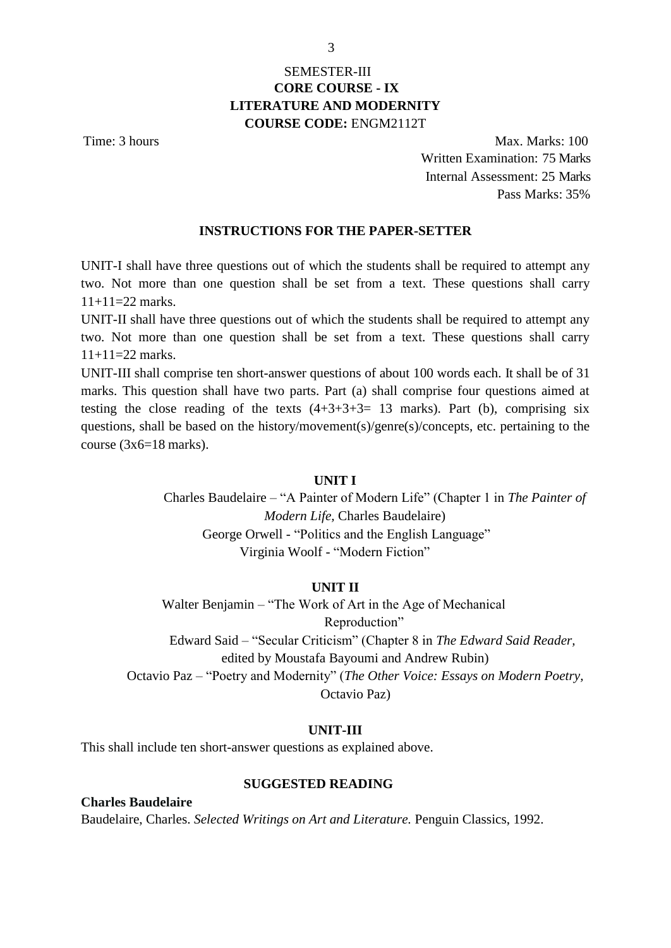## SEMESTER-III **CORE COURSE - IX LITERATURE AND MODERNITY COURSE CODE:** ENGM2112T

Time: 3 hours Max. Marks: 100 Written Examination: 75 Marks Internal Assessment: 25 Marks Pass Marks: 35%

## **INSTRUCTIONS FOR THE PAPER-SETTER**

UNIT-I shall have three questions out of which the students shall be required to attempt any two. Not more than one question shall be set from a text. These questions shall carry 11+11=22 marks.

UNIT-II shall have three questions out of which the students shall be required to attempt any two. Not more than one question shall be set from a text. These questions shall carry  $11+11=22$  marks.

UNIT-III shall comprise ten short-answer questions of about 100 words each. It shall be of 31 marks. This question shall have two parts. Part (a) shall comprise four questions aimed at testing the close reading of the texts  $(4+3+3+3=13$  marks). Part (b), comprising six questions, shall be based on the history/movement(s)/genre(s)/concepts, etc. pertaining to the course (3x6=18 marks).

### **UNIT I**

Charles Baudelaire – "A Painter of Modern Life" (Chapter 1 in *The Painter of Modern Life,* Charles Baudelaire) George Orwell - "Politics and the English Language" Virginia Woolf - "Modern Fiction"

#### **UNIT II**

Walter Benjamin – "The Work of Art in the Age of Mechanical Reproduction" Edward Said – "Secular Criticism" (Chapter 8 in *The Edward Said Reader,* edited by Moustafa Bayoumi and Andrew Rubin) Octavio Paz – "Poetry and Modernity" (*The Other Voice: Essays on Modern Poetry,* Octavio Paz)

### **UNIT-III**

This shall include ten short-answer questions as explained above.

## **SUGGESTED READING**

**Charles Baudelaire** Baudelaire, Charles. *Selected Writings on Art and Literature.* Penguin Classics, 1992.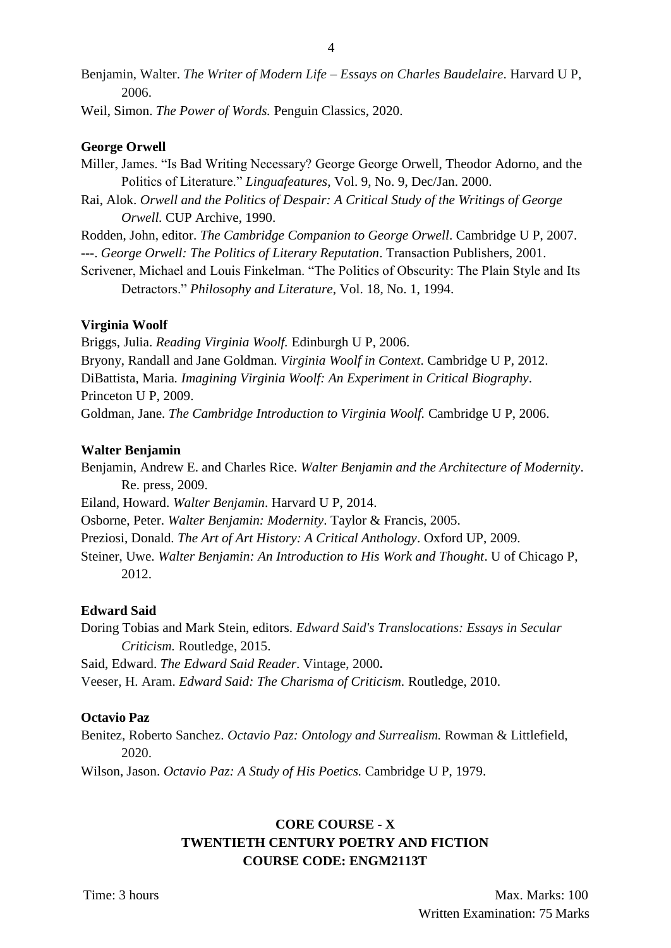Benjamin, Walter. *The Writer of Modern Life – Essays on Charles Baudelaire*. Harvard U P, 2006.

Weil, Simon. *The Power of Words.* Penguin Classics*,* 2020.

### **George Orwell**

- Miller, James. "Is Bad Writing Necessary? George George Orwell, Theodor Adorno, and the Politics of Literature." *Linguafeatures*, Vol. 9, No. 9, Dec/Jan. 2000.
- Rai, Alok. *Orwell and the Politics of Despair: A Critical Study of the Writings of George Orwell.* CUP Archive, 1990.

Rodden, John, editor. *The Cambridge Companion to George Orwell*. Cambridge U P, 2007. ---. *George Orwell: The Politics of Literary Reputation*. Transaction Publishers, 2001.

Scrivener, Michael and Louis Finkelman. "The Politics of Obscurity: The Plain Style and Its Detractors." *Philosophy and Literature*, Vol. 18, No. 1, 1994.

### **Virginia Woolf**

Briggs, Julia. *Reading Virginia Woolf.* Edinburgh U P, 2006. Bryony, Randall and Jane Goldman. *Virginia Woolf in Context*. Cambridge U P, 2012. DiBattista, Maria*. Imagining Virginia Woolf: An Experiment in Critical Biography*. Princeton U P, 2009. Goldman, Jane. *The Cambridge Introduction to Virginia Woolf.* Cambridge U P, 2006.

### **Walter Benjamin**

Benjamin, Andrew E. and Charles Rice. *Walter Benjamin and the Architecture of Modernity*. Re. press, 2009.

Eiland, Howard. *Walter Benjamin*. Harvard U P, 2014.

Osborne, Peter. *Walter Benjamin: Modernity*. Taylor & Francis, 2005.

Preziosi, Donald. *The Art of Art History: A Critical Anthology*. Oxford UP, 2009.

Steiner, Uwe. *Walter Benjamin: An Introduction to His Work and Thought*. U of Chicago P, 2012.

## **Edward Said**

Doring Tobias and Mark Stein, editors. *Edward Said's Translocations: Essays in Secular Criticism.* Routledge, 2015.

Said, Edward. *The Edward Said Reader*. Vintage, 2000**.**

Veeser, H. Aram. *[Edward Said: The Charisma of Criticism.](https://www.amazon.in/Edward-Said-Criticism-Aram-Veeser-ebook/dp/B003FC9RNG/ref%3Dsr_1_10?dchild=1&keywords=Edward%2BSaid%2Bsecular%2Bliterature&qid=1608015618&sr=8-10)* Routledge, 2010.

## **Octavio Paz**

Benitez, Roberto Sanchez. *Octavio Paz: Ontology and Surrealism.* Rowman & Littlefield, 2020.

Wilson, Jason. *Octavio Paz: A Study of His Poetics.* Cambridge U P, 1979.

## **CORE COURSE - X TWENTIETH CENTURY POETRY AND FICTION COURSE CODE: ENGM2113T**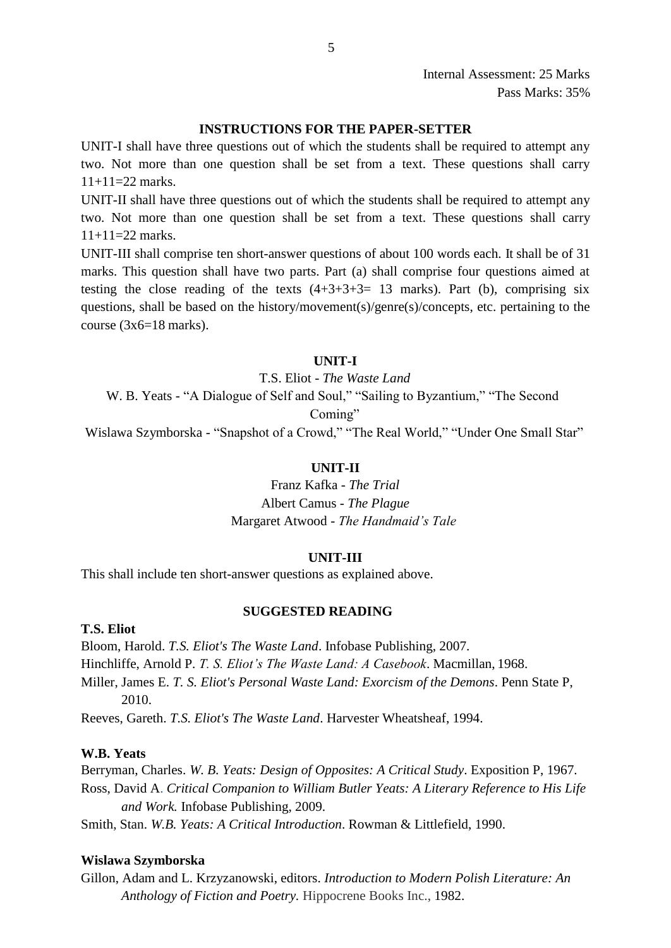## **INSTRUCTIONS FOR THE PAPER-SETTER**

UNIT-I shall have three questions out of which the students shall be required to attempt any two. Not more than one question shall be set from a text. These questions shall carry  $11+11=22$  marks.

UNIT-II shall have three questions out of which the students shall be required to attempt any two. Not more than one question shall be set from a text. These questions shall carry  $11+11=22$  marks.

UNIT-III shall comprise ten short-answer questions of about 100 words each. It shall be of 31 marks. This question shall have two parts. Part (a) shall comprise four questions aimed at testing the close reading of the texts  $(4+3+3+3=13$  marks). Part (b), comprising six questions, shall be based on the history/movement(s)/genre(s)/concepts, etc. pertaining to the course  $(3x6=18 \text{ marks})$ .

## **UNIT-I**

T.S. Eliot - *The Waste Land*

W. B. Yeats - "A Dialogue of Self and Soul," "Sailing to Byzantium," "The Second

Coming"

Wislawa Szymborska - "Snapshot of a Crowd," "The Real World," "Under One Small Star"

## **UNIT-II**

Franz Kafka - *The Trial* Albert Camus - *The Plague* Margaret Atwood - *The Handmaid's Tale*

#### **UNIT-III**

This shall include ten short-answer questions as explained above.

## **SUGGESTED READING**

**T.S. Eliot**

Bloom, Harold. *T.S. Eliot's The Waste Land*. Infobase Publishing, 2007. Hinchliffe, Arnold P. *T. S. Eliot's The Waste Land: A Casebook*. Macmillan, 1968. Miller, James E. *T. S. Eliot's Personal Waste Land: Exorcism of the Demons*. Penn State P, 2010.

Reeves, Gareth. *T.S. Eliot's The Waste Land*. Harvester Wheatsheaf, 1994.

### **W.B. Yeats**

Berryman, Charles. *W. B. Yeats: Design of Opposites: A Critical Study*. Exposition P, 1967. Ross, David A. *Critical Companion to William Butler Yeats: A Literary Reference to His Life and Work.* Infobase Publishing, 2009.

Smith, Stan. *W.B. Yeats: A Critical Introduction*. Rowman & Littlefield, 1990.

#### **Wislawa Szymborska**

Gillon, Adam and L. Krzyzanowski, editors. *Introduction to Modern Polish Literature: An Anthology of Fiction and Poetry.* Hippocrene Books Inc., 1982.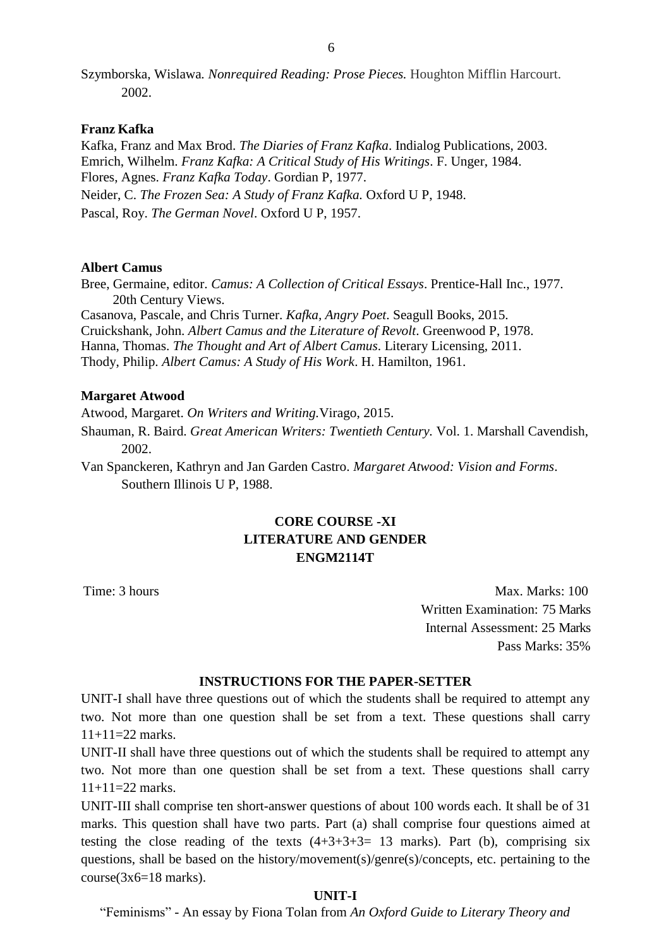Szymborska, Wislawa*. Nonrequired Reading: Prose Pieces.* Houghton Mifflin Harcourt. 2002.

### **Franz Kafka**

Kafka, Franz and Max Brod. *The Diaries of Franz Kafka*. Indialog Publications, 2003. Emrich, Wilhelm. *Franz Kafka: A Critical Study of His Writings*. F. Unger, 1984. Flores, Agnes. *Franz Kafka Today*. Gordian P, 1977. Neider, C. *The Frozen Sea: A Study of Franz Kafka.* Oxford U P, 1948. Pascal, Roy. *The German Novel*. Oxford U P, 1957.

### **Albert Camus**

Bree, Germaine, editor. *Camus: A Collection of Critical Essays*. Prentice-Hall Inc., 1977. 20th Century Views. Casanova, Pascale, and Chris Turner. *Kafka, Angry Poet*. Seagull Books, 2015.

Cruickshank, John. *Albert Camus and the Literature of Revolt*. Greenwood P, 1978. Hanna, Thomas. *The Thought and Art of Albert Camus*. Literary Licensing, 2011. Thody, Philip. *Albert Camus: A Study of His Work*. H. Hamilton, 1961.

#### **Margaret Atwood**

Atwood, Margaret. *On Writers and Writing.*Virago, 2015.

Shauman, R. Baird. *Great American Writers: Twentieth Century.* Vol. 1. Marshall Cavendish, 2002.

Van Spanckeren, Kathryn and Jan Garden Castro. *Margaret Atwood: Vision and Forms*. Southern Illinois U P, 1988.

# **CORE COURSE -XI LITERATURE AND GENDER ENGM2114T**

Time: 3 hours Max. Marks: 100 Written Examination: 75 Marks Internal Assessment: 25 Marks Pass Marks: 35%

## **INSTRUCTIONS FOR THE PAPER-SETTER**

UNIT-I shall have three questions out of which the students shall be required to attempt any two. Not more than one question shall be set from a text. These questions shall carry  $11+11=22$  marks.

UNIT-II shall have three questions out of which the students shall be required to attempt any two. Not more than one question shall be set from a text. These questions shall carry  $11+11=22$  marks.

UNIT-III shall comprise ten short-answer questions of about 100 words each. It shall be of 31 marks. This question shall have two parts. Part (a) shall comprise four questions aimed at testing the close reading of the texts  $(4+3+3+3=13$  marks). Part (b), comprising six questions, shall be based on the history/movement(s)/genre(s)/concepts, etc. pertaining to the  $course(3x6=18 marks)$ .

#### **UNIT-I**

"Feminisms" - An essay by Fiona Tolan from *An Oxford Guide to Literary Theory and*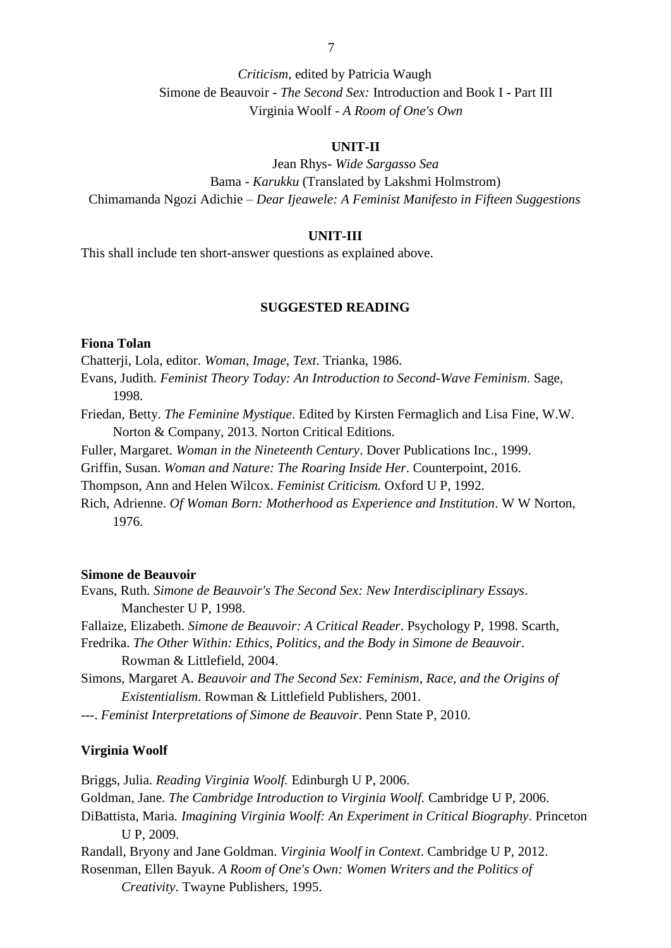*Criticism,* edited by Patricia Waugh Simone de Beauvoir - *The Second Sex:* Introduction and Book I - Part III Virginia Woolf - *A Room of One's Own*

### **UNIT-II**

Jean Rhys- *Wide Sargasso Sea* Bama - *Karukku* (Translated by Lakshmi Holmstrom) Chimamanda Ngozi Adichie – *Dear Ijeawele: A Feminist Manifesto in Fifteen Suggestions*

#### **UNIT-III**

This shall include ten short-answer questions as explained above.

## **SUGGESTED READING**

## **Fiona Tolan**

Chatterji, Lola, editor. *Woman, Image, Text*. Trianka, 1986.

Evans, Judith. *Feminist Theory Today: An Introduction to Second-Wave Feminism*. Sage, 1998.

Friedan, Betty. *The Feminine Mystique*. Edited by Kirsten Fermaglich and Lisa Fine, W.W. Norton & Company, 2013. Norton Critical Editions.

Fuller, Margaret. *Woman in the Nineteenth Century*. Dover Publications Inc., 1999.

Griffin, Susan. *Woman and Nature: The Roaring Inside Her*. Counterpoint, 2016.

Thompson, Ann and Helen Wilcox. *Feminist Criticism.* Oxford U P, 1992.

Rich, Adrienne. *Of Woman Born: Motherhood as Experience and Institution*. W W Norton, 1976.

#### **Simone de Beauvoir**

Evans, Ruth*. Simone de Beauvoir's The Second Sex: New Interdisciplinary Essays*. Manchester U P, 1998.

Fallaize, Elizabeth. *Simone de Beauvoir: A Critical Reader*. Psychology P, 1998. Scarth,

Fredrika. *The Other Within: Ethics, Politics, and the Body in Simone de Beauvoir*. Rowman & Littlefield, 2004.

Simons, Margaret A. *Beauvoir and The Second Sex: Feminism, Race, and the Origins of Existentialism*. Rowman & Littlefield Publishers, 2001.

---. *Feminist Interpretations of Simone de Beauvoir*. Penn State P, 2010.

### **Virginia Woolf**

Briggs, Julia. *Reading Virginia Woolf.* Edinburgh U P, 2006.

Goldman, Jane. *The Cambridge Introduction to Virginia Woolf.* Cambridge U P, 2006.

DiBattista, [Maria](https://www.google.co.in/search?tbo=p&tbm=bks&q=inauthor%3A%22Maria%2BDiBattista%22)*. Imagining Virginia Woolf: An Experiment in Critical Biography*. Princeton U P, 2009.

Randall, Bryony and Jane Goldman. *Virginia Woolf in Context*. Cambridge U P, 2012.

Rosenm[an, Ellen Bayuk.](https://www.google.co.in/search?tbo=p&tbm=bks&q=inauthor%3A%22Ellen%2BBayuk%2BRosenman%22) *A Room of One's Own: Women Writers and the Politics of Creativity*. Twayne Publishers, 1995.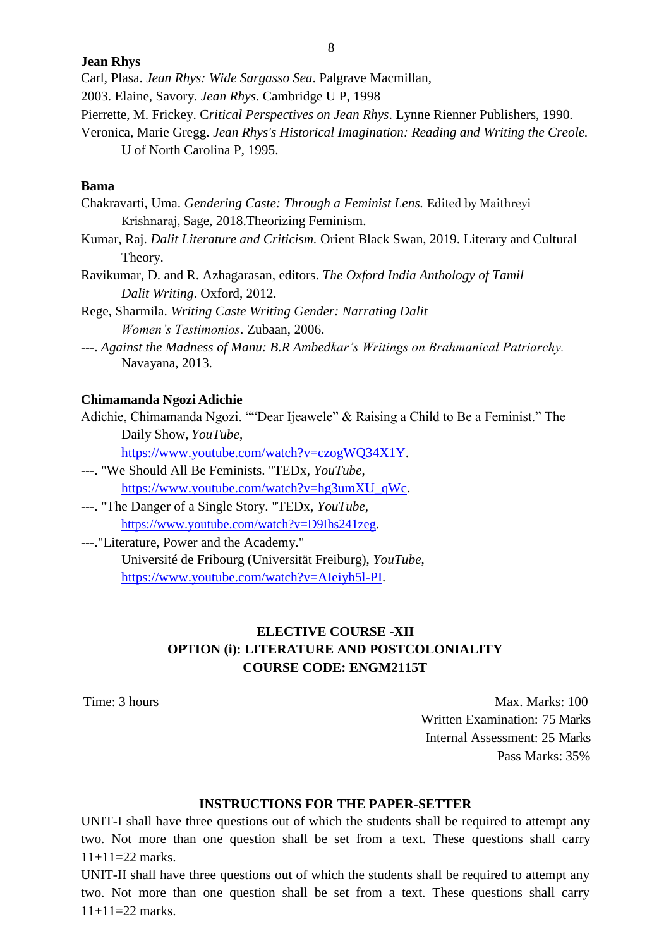#### **Jean Rhys**

Carl, Plasa. *Jean Rhys: Wide Sargasso Sea*. Palgrave Macmillan,

2003. Elaine, Savory. *Jean Rhys*. Cambridge U P, 1998

- Pierrette, M. Frickey. C*ritical Perspectives on Jean Rhys*. Lynne Rienner Publishers, 1990.
- Veronica, Marie Gregg. *Jean Rhys's Historical Imagination: Reading and Writing the Creole.* U of North Carolina P, 1995.

#### **Bama**

- Chakravarti, Uma. *Gendering Caste: Through a Feminist Lens.* Edited by Maithreyi Krishnaraj, Sage, 2018.Theorizing Feminism.
- Kumar, Raj. *Dalit Literature and Criticism.* Orient Black Swan, 2019. Literary and Cultural Theory.
- Ravikumar, D. and R. Azhagarasan, editors. *The Oxford India Anthology of Tamil Dalit Writing*. Oxford, 2012.
- Rege, Sharmila. *Writing Caste Writing Gender: Narrating Dalit Women's Testimonios*. Zubaan, 2006.
- ---. *Against the Madness of Manu: B.R Ambedkar's Writings on Brahmanical Patriarchy.* Navayana, 2013.

### **Chimamanda Ngozi Adichie**

Adichie, Chimamanda Ngozi. ""Dear Ijeawele" & Raising a Child to Be a Feminist." The Daily Show*, YouTube*,

[https://www.youtube.com/watch?v=czogWQ34X1Y.](https://www.youtube.com/watch?v=czogWQ34X1Y)

- ---. "We Should All Be Feminists. "TEDx, *YouTube*, [https://www.youtube.com/watch?v=hg3umXU\\_qWc.](https://www.youtube.com/watch?v=hg3umXU_qWc)
- ---. "The Danger of a Single Story. "TEDx, *YouTube*, [https://www.youtube.com/watch?v=D9Ihs241zeg.](https://www.youtube.com/watch?v=D9Ihs241zeg)
- ---."Literature, Power and the Academy." Université de Fribourg (Universität Freiburg), *YouTube*, [https://www.youtube.com/watch?v=AIeiyh5l-PI.](https://www.youtube.com/watch?v=AIeiyh5l-PI)

# **ELECTIVE COURSE -XII OPTION (i): LITERATURE AND POSTCOLONIALITY COURSE CODE: ENGM2115T**

Time: 3 hours Max. Marks: 100 Written Examination: 75 Marks Internal Assessment: 25 Marks Pass Marks: 35%

## **INSTRUCTIONS FOR THE PAPER-SETTER**

UNIT-I shall have three questions out of which the students shall be required to attempt any two. Not more than one question shall be set from a text. These questions shall carry  $11+11=22$  marks.

UNIT-II shall have three questions out of which the students shall be required to attempt any two. Not more than one question shall be set from a text. These questions shall carry  $11+11=22$  marks.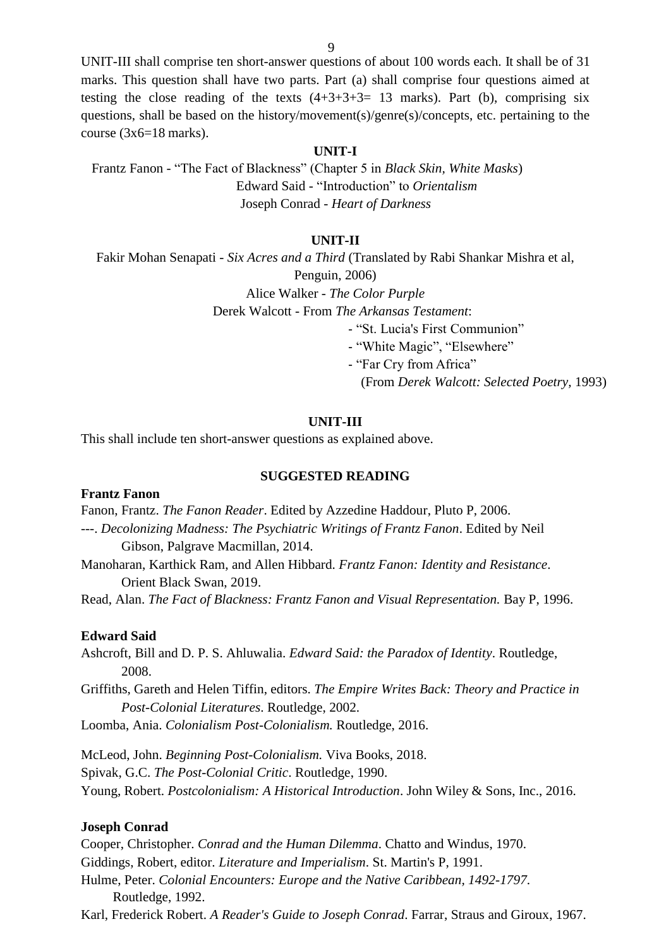UNIT-III shall comprise ten short-answer questions of about 100 words each. It shall be of 31 marks. This question shall have two parts. Part (a) shall comprise four questions aimed at testing the close reading of the texts  $(4+3+3+3=13$  marks). Part (b), comprising six questions, shall be based on the history/movement(s)/genre(s)/concepts, etc. pertaining to the course  $(3x6=18 \text{ marks})$ .

#### **UNIT-I**

Frantz Fanon - "The Fact of Blackness" (Chapter 5 in *Black Skin, White Masks*) Edward Said - "Introduction" to *Orientalism* Joseph Conrad - *Heart of Darkness*

### **UNIT-II**

Fakir Mohan Senapati - *Six Acres and a Third* (Translated by Rabi Shankar Mishra et al, Penguin, 2006)

Alice Walker - *The Color Purple*

Derek Walcott - From *The Arkansas Testament*:

- "St. Lucia's First Communion"

- "White Magic", "Elsewhere"

- "Far Cry from Africa"

(From *Derek Walcott: Selected Poetry,* 1993)

## **UNIT-III**

This shall include ten short-answer questions as explained above.

#### **SUGGESTED READING**

## **Frantz Fanon**

Fanon, Frantz. *The Fanon Reader*. Edited by Azzedine Haddour, Pluto P, 2006.

---. *Decolonizing Madness: The Psychiatric Writings of Frantz Fanon*. Edited by Neil Gibson, Palgrave Macmillan, 2014.

Manoharan, Karthick Ram, and Allen Hibbard. *Frantz Fanon: Identity and Resistance*. Orient Black Swan, 2019.

Read, Alan. *The Fact of Blackness: Frantz Fanon and Visual Representation.* Bay P, 1996.

#### **Edward Said**

Ashcroft, Bill and D. P. S. Ahluwalia. *Edward Said: the Paradox of Identity*. Routledge, 2008.

Griffiths, Gareth and Helen Tiffin, editors. *The Empire Writes Back: Theory and Practice in Post-Colonial Literatures*. Routledge, 2002.

Loomba, Ania. *Colonialism Post-Colonialism.* Routledge, 2016.

McLeod, John. *Beginning Post-Colonialism.* Viva Books, 2018. Spivak, G.C. *The Post-Colonial Critic*. Routledge, 1990. Young, Robert. *Postcolonialism: A Historical Introduction*. John Wiley & Sons, Inc., 2016.

#### **Joseph Conrad**

Cooper, Christopher. *Conrad and the Human Dilemma*. Chatto and Windus, 1970. Giddings, Robert, editor. *Literature and Imperialism*. St. Martin's P, 1991. Hulme, Peter. *Colonial Encounters: Europe and the Native Caribbean, 1492-1797*. Routledge, 1992.

Karl, Frederick Robert. *A Reader's Guide to Joseph Conrad*. Farrar, Straus and Giroux, 1967.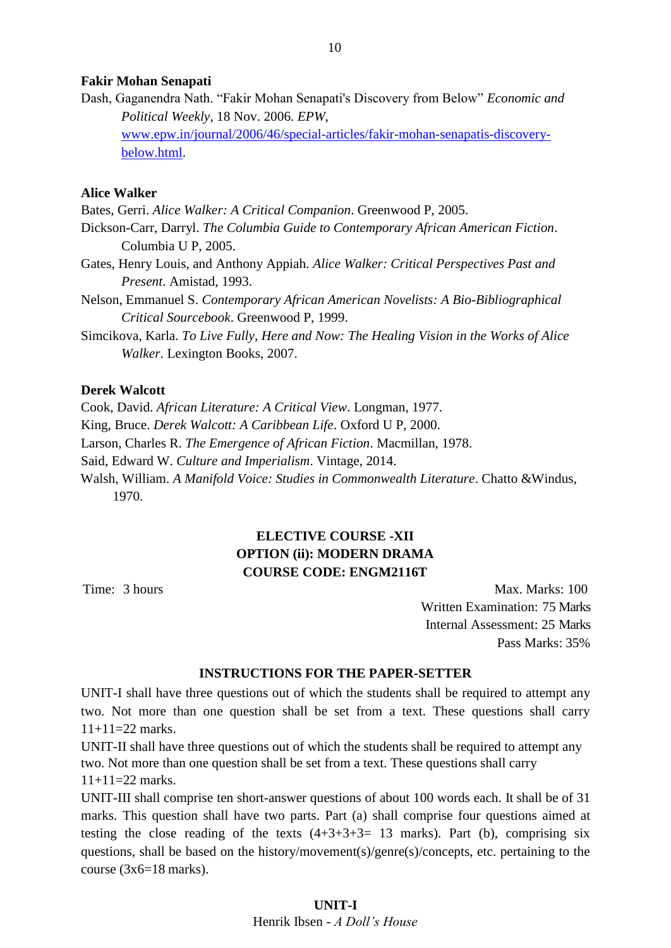#### **Fakir Mohan Senapati**

Dash, Gaganendra Nath. "Fakir Mohan Senapati's Discovery from Below" *Economic and Political Weekly*, 18 Nov. 2006. *EPW*, [www.epw.in/journal/2006/46/special-articles/fakir-mohan-senapatis-discovery](http://www.epw.in/journal/2006/46/special-articles/fakir-mohan-senapatis-discovery-below.html)[below.html.](http://www.epw.in/journal/2006/46/special-articles/fakir-mohan-senapatis-discovery-below.html)

## **Alice Walker**

Bates, Gerri. *Alice Walker: A Critical Companion*. Greenwood P, 2005.

- Dickson-Carr, Darryl. *The Columbia Guide to Contemporary African American Fiction*. Columbia U P, 2005.
- Gates, Henry Louis, and Anthony Appiah. *Alice Walker: Critical Perspectives Past and Present*. Amistad, 1993.
- Nelson, Emmanuel S. *Contemporary African American Novelists: A Bio-Bibliographical Critical Sourcebook*. Greenwood P, 1999.
- Simcikova, Karla. *To Live Fully, Here and Now: The Healing Vision in the Works of Alice Walker*. Lexington Books, 2007.

### **Derek Walcott**

Cook, David. *African Literature: A Critical View*. Longman, 1977.

King, Bruce. *Derek Walcott: A Caribbean Life*. Oxford U P, 2000.

Larson, Charles R. *The Emergence of African Fiction*. Macmillan, 1978.

Said, Edward W. *Culture and Imperialism*. Vintage, 2014.

Walsh, William. *A Manifold Voice: Studies in Commonwealth Literature*. Chatto &Windus, 1970.

## **ELECTIVE COURSE -XII OPTION (ii): MODERN DRAMA COURSE CODE: ENGM2116T**

Time: 3 hours Max. Marks: 100 Written Examination: 75 Marks Internal Assessment: 25 Marks Pass Marks: 35%

#### **INSTRUCTIONS FOR THE PAPER-SETTER**

UNIT-I shall have three questions out of which the students shall be required to attempt any two. Not more than one question shall be set from a text. These questions shall carry 11+11=22 marks.

UNIT-II shall have three questions out of which the students shall be required to attempt any two. Not more than one question shall be set from a text. These questions shall carry  $11+11=22$  marks.

UNIT-III shall comprise ten short-answer questions of about 100 words each. It shall be of 31 marks. This question shall have two parts. Part (a) shall comprise four questions aimed at testing the close reading of the texts  $(4+3+3+3=13$  marks). Part (b), comprising six questions, shall be based on the history/movement(s)/genre(s)/concepts, etc. pertaining to the course  $(3x6=18 \text{ marks})$ .

## **UNIT-I** Henrik Ibsen - *A Doll's House*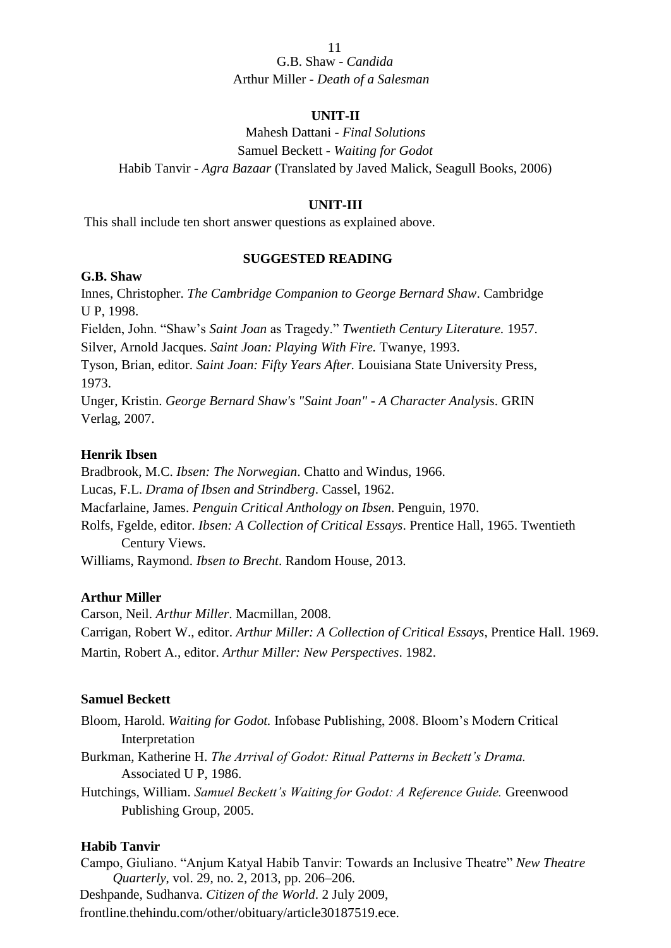## 11 G.B. Shaw - *Candida* Arthur Miller - *Death of a Salesman*

## **UNIT-II**

Mahesh Dattani - *Final Solutions* Samuel Beckett - *Waiting for Godot* Habib Tanvir - *Agra Bazaar* (Translated by Javed Malick, Seagull Books, 2006)

## **UNIT-III**

This shall include ten short answer questions as explained above.

## **SUGGESTED READING**

### **G.B. Shaw**

Innes, Christopher. *The Cambridge Companion to George Bernard Shaw*. Cambridge U P, 1998.

Fielden, John. "Shaw's *Saint Joan* as Tragedy." *Twentieth Century Literature.* 1957. Silver, Arnold Jacques. *Saint Joan: Playing With Fire.* Twanye, 1993.

Tyson, Brian, editor. *Saint Joan: Fifty Years After.* Louisiana State University Press, 1973.

Unger, Kristin. *George Bernard Shaw's "Saint Joan" - A Character Analysis*. GRIN Verlag, 2007.

## **Henrik Ibsen**

Bradbrook, M.C. *Ibsen: The Norwegian*. Chatto and Windus, 1966. Lucas, F.L. *Drama of Ibsen and Strindberg*. Cassel, 1962. Macfarlaine, James. *Penguin Critical Anthology on Ibsen*. Penguin, 1970. Rolfs, Fgelde, editor. *Ibsen: A Collection of Critical Essays*. Prentice Hall, 1965. Twentieth Century Views. Williams, Raymond. *Ibsen to Brecht*. Random House, 2013.

## **Arthur Miller**

Carson, Neil. *Arthur Miller*. Macmillan, 2008. Carrigan, Robert W., editor. *Arthur Miller: A Collection of Critical Essays*, Prentice Hall. 1969. Martin, Robert A., editor. *Arthur Miller: New Perspectives*. 1982.

## **Samuel Beckett**

Bloom, Harold. *Waiting for Godot.* Infobase Publishing, 2008. Bloom's Modern Critical Interpretation

Burkman, Katherine H. *The Arrival of Godot: Ritual Patterns in Beckett's Drama.* Associated U P, 1986.

Hutchings, William. *Samuel Beckett's Waiting for Godot: A Reference Guide.* Greenwood Publishing Group, 2005.

## **Habib Tanvir**

Campo, Giuliano. "Anjum Katyal Habib Tanvir: Towards an Inclusive Theatre" *New Theatre Quarterly*, vol. 29, no. 2, 2013, pp. 206–206. Deshpande, Sudhanva. *Citizen of the World*. 2 July 2009,

frontline.thehindu.com/other/obituary/article30187519.ece.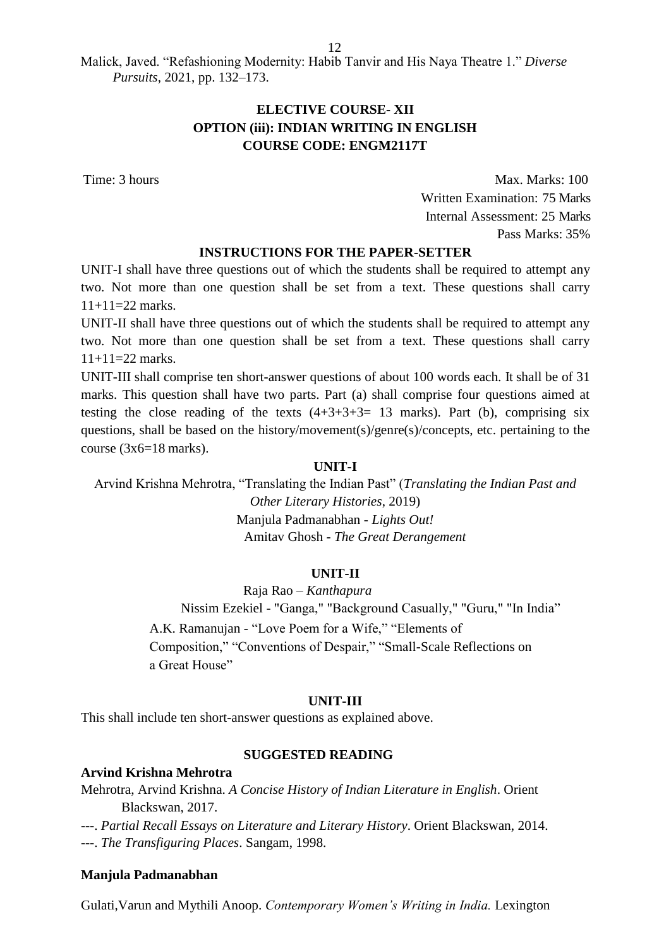Malick, Javed. "Refashioning Modernity: Habib Tanvir and His Naya Theatre 1." *Diverse Pursuits*, 2021, pp. 132–173.

## **ELECTIVE COURSE- XII OPTION (iii): INDIAN WRITING IN ENGLISH COURSE CODE: ENGM2117T**

Time: 3 hours Max. Marks: 100 Written Examination: 75 Marks Internal Assessment: 25 Marks Pass Marks: 35%

### **INSTRUCTIONS FOR THE PAPER-SETTER**

UNIT-I shall have three questions out of which the students shall be required to attempt any two. Not more than one question shall be set from a text. These questions shall carry 11+11=22 marks.

UNIT-II shall have three questions out of which the students shall be required to attempt any two. Not more than one question shall be set from a text. These questions shall carry  $11+11=22$  marks.

UNIT-III shall comprise ten short-answer questions of about 100 words each. It shall be of 31 marks. This question shall have two parts. Part (a) shall comprise four questions aimed at testing the close reading of the texts  $(4+3+3+3=13$  marks). Part (b), comprising six questions, shall be based on the history/movement(s)/genre(s)/concepts, etc. pertaining to the course  $(3x6=18 \text{ marks})$ .

### **UNIT-I**

Arvind Krishna Mehrotra, "Translating the Indian Past" (*Translating the Indian Past and Other Literary Histories*, 2019) Manjula Padmanabhan - *Lights Out!* Amitav Ghosh - *The Great Derangement*

## **UNIT-II**

Raja Rao – *Kanthapura*

Nissim Ezekiel - "Ganga," "Background Casually," "Guru," "In India"

A.K. Ramanujan - "Love Poem for a Wife," "Elements of Composition," "Conventions of Despair," "Small-Scale Reflections on a Great House"

#### **UNIT-III**

This shall include ten short-answer questions as explained above.

## **SUGGESTED READING**

### **Arvind Krishna Mehrotra**

Mehrotra, Arvind Krishna. *A Concise History of Indian Literature in English*. Orient Blackswan, 2017.

---. *Partial Recall Essays on Literature and Literary History*. Orient Blackswan, 2014. ---. *The Transfiguring Places*. Sangam, 1998.

## **Manjula Padmanabhan**

Gulati,Varun and Mythili Anoop. *Contemporary Women's Writing in India.* Lexington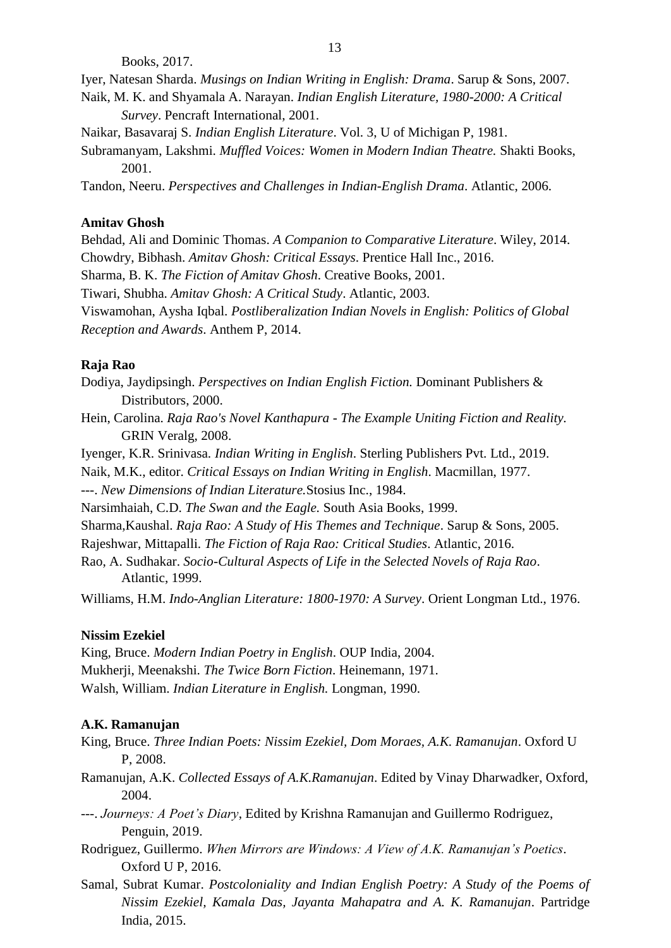Books, 2017.

Iyer, [Natesan Sharda.](https://www.google.co.in/search?tbo=p&tbm=bks&q=inauthor%3A%22Natesan%2BSharda%2BIyer%22) *Musings on Indian Writing in English: Drama*. Sarup & Sons, 2007.

- Naik, [M. K. a](https://www.google.co.in/search?tbo=p&tbm=bks&q=inauthor%3A%22M.%2BK.%2BNaik%22)nd [Shyamala A. Narayan.](https://www.google.co.in/search?tbo=p&tbm=bks&q=inauthor%3A%22Shyamala%2BA.%2BNarayan%22) *Indian English Literature, 1980-2000: A Critical Survey*. Pencraft International, 2001.
- Naikar, Basavaraj S. *Indian English Literature*. Vol. 3, U of Michigan P, 1981.
- [Subramanyam, L](https://www.google.co.in/search?tbo=p&tbm=bks&q=inauthor%3A%22Lakshmi%2BSubramanyam%22)akshmi. *Muffled Voices: Women in Modern Indian Theatre.* Shakti Books, 2001.

[Tandon, N](https://www.google.co.in/search?tbo=p&tbm=bks&q=inauthor%3A%22Neeru%2BTandon%22)eeru. *Perspectives and Challenges in Indian-English Drama*. Atlantic, 2006.

## **Amitav Ghosh**

Behdad, Ali and Dominic Thomas. *A Companion to Comparative Literature*. Wiley, 2014. Chowdry, Bibhash. *Amitav Ghosh: Critical Essays*. Prentice Hall Inc., 2016. [Sharma, B. K.](https://www.google.co.in/search?tbo=p&tbm=bks&q=inauthor%3A%22B.%2BK.%2BSharma%22) *The Fiction of Amitav Ghosh*. Creative Books, 2001. [Tiwari, Shubha.](https://www.google.co.in/search?tbo=p&tbm=bks&q=inauthor%3A%22Shubha%2BTiwari%22) *Amitav Ghosh: A Critical Study*. Atlantic, 2003. Viswamohan, Aysha Iqbal. *Postliberalization Indian Novels in English: Politics of Global Reception and Awards*. Anthem P, 2014.

### **Raja Rao**

Dodiya, Jaydipsingh. *Perspectives on Indian English Fiction.* Dominant Publishers & Distributors, 2000.

- H[ein, Carolina.](https://www.google.co.in/search?tbo=p&tbm=bks&q=inauthor%3A%22Carolina%2BHein%22) *Raja Rao's Novel Kanthapura - The Example Uniting Fiction and Reality.* GRIN Veralg, 2008.
- Iyenger, K.R. Srinivasa. *Indian Writing in English*. Sterling Publishers Pvt. Ltd., 2019.
- Naik, M.K., editor. *Critical Essays on Indian Writing in English*. Macmillan, 1977.

---. *New Dimensions of Indian Literature.*Stosius Inc., 1984.

Narsimhaiah, C.D. *The Swan and the Eagle.* South Asia Books, 1999.

Sharma[,Kaushal.](https://www.google.co.in/search?tbo=p&tbm=bks&q=inauthor%3A%22Kaushal%2BSharma%22) *Raja Rao: A Study of His Themes and Technique*. Sarup & Sons, 2005.

Rajeshwar, Mittapalli. *The Fiction of Raja Rao: Critical Studies*. Atlantic, 2016.

Rao, [A. Sudhakar.](https://www.google.co.in/search?tbo=p&tbm=bks&q=inauthor%3A%22A.%2BSudhakar%2BRao%22) *Socio-Cultural Aspects of Life in the Selected Novels of Raja Rao*. Atlantic, 1999.

Williams, H.M. *Indo-Anglian Literature: 1800-1970: A Survey*. Orient Longman Ltd., 1976.

## **Nissim Ezekiel**

King, Bruce. *Modern Indian Poetry in English*. OUP India, 2004. Mukherji, Meenakshi. *The Twice Born Fiction*. Heinemann, 1971. Walsh, William. *Indian Literature in English.* Longman, 1990.

## **A.K. Ramanujan**

King, Bruce. *Three Indian Poets: Nissim Ezekiel, Dom Moraes, A.K. Ramanujan*. Oxford U P, 2008.

- Ramanujan, A.K. *Collected Essays of A.K.Ramanujan*. Edited by Vinay Dharwadker, Oxford, 2004.
- ---. *Journeys: A Poet's Diary*, Edited by Krishna Ramanujan and Guillermo Rodriguez, Penguin, 2019.
- Rodriguez, Guillermo. *When Mirrors are Windows: A View of A.K. Ramanujan's Poetics*. Oxford U P, 2016.
- Samal, Subrat Kumar. *Postcoloniality and Indian English Poetry: A Study of the Poems of Nissim Ezekiel, Kamala Das, Jayanta Mahapatra and A. K. Ramanujan*. Partridge India, 2015.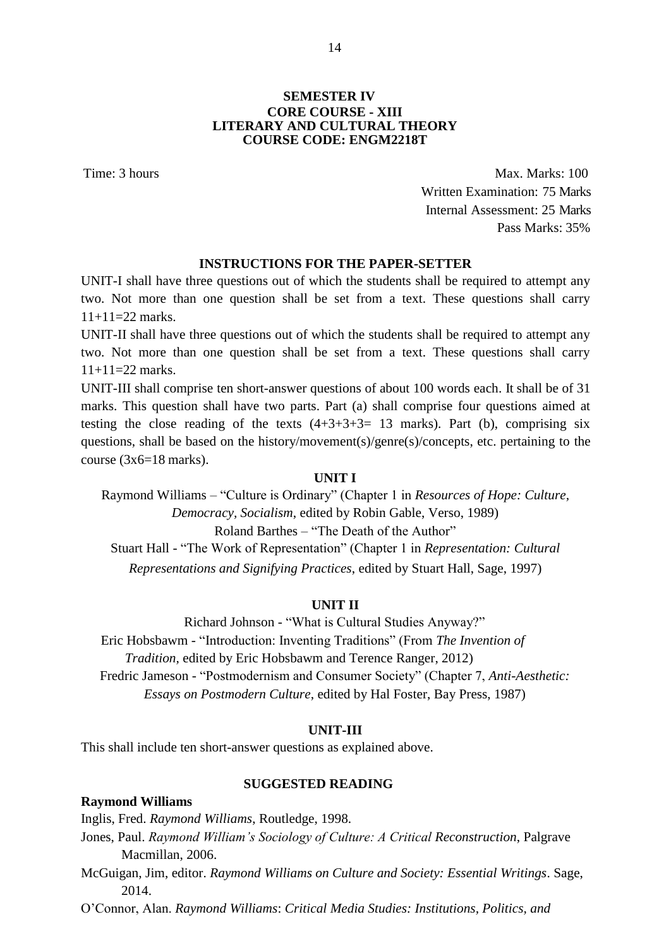Time: 3 hours Max. Marks: 100 Written Examination: 75 Marks Internal Assessment: 25 Marks Pass Marks: 35%

#### **INSTRUCTIONS FOR THE PAPER-SETTER**

UNIT-I shall have three questions out of which the students shall be required to attempt any two. Not more than one question shall be set from a text. These questions shall carry  $11+11=22$  marks.

UNIT-II shall have three questions out of which the students shall be required to attempt any two. Not more than one question shall be set from a text. These questions shall carry 11+11=22 marks.

UNIT-III shall comprise ten short-answer questions of about 100 words each. It shall be of 31 marks. This question shall have two parts. Part (a) shall comprise four questions aimed at testing the close reading of the texts  $(4+3+3+3=13$  marks). Part (b), comprising six questions, shall be based on the history/movement(s)/genre(s)/concepts, etc. pertaining to the course  $(3x6=18 \text{ marks})$ .

#### **UNIT I**

Raymond Williams – "Culture is Ordinary" (Chapter 1 in *Resources of Hope: Culture, Democracy, Socialism*, edited by Robin Gable, Verso, 1989) Roland Barthes – "The Death of the Author"

Stuart Hall - "The Work of Representation" (Chapter 1 in *Representation: Cultural Representations and Signifying Practices*, edited by Stuart Hall, Sage, 1997)

#### **UNIT II**

Richard Johnson - "What is Cultural Studies Anyway?" Eric Hobsbawm - "Introduction: Inventing Traditions" (From *The Invention of Tradition,* edited by Eric Hobsbawm and Terence Ranger, 2012) Fredric Jameson - "Postmodernism and Consumer Society" (Chapter 7, *Anti-Aesthetic: Essays on Postmodern Culture*, edited by Hal Foster, Bay Press, 1987)

#### **UNIT-III**

This shall include ten short-answer questions as explained above.

#### **SUGGESTED READING**

#### **Raymond Williams**

Inglis, Fred. *Raymond Williams*, Routledge, 1998.

Jones, Paul. *Raymond William's Sociology of Culture: A Critical Reconstruction*, Palgrave Macmillan, 2006.

McGuigan, Jim, editor. *Raymond Williams on Culture and Society: Essential Writings*. Sage, 2014.

O'Connor, Alan. *Raymond Williams*: *Critical Media Studies: Institutions, Politics, and*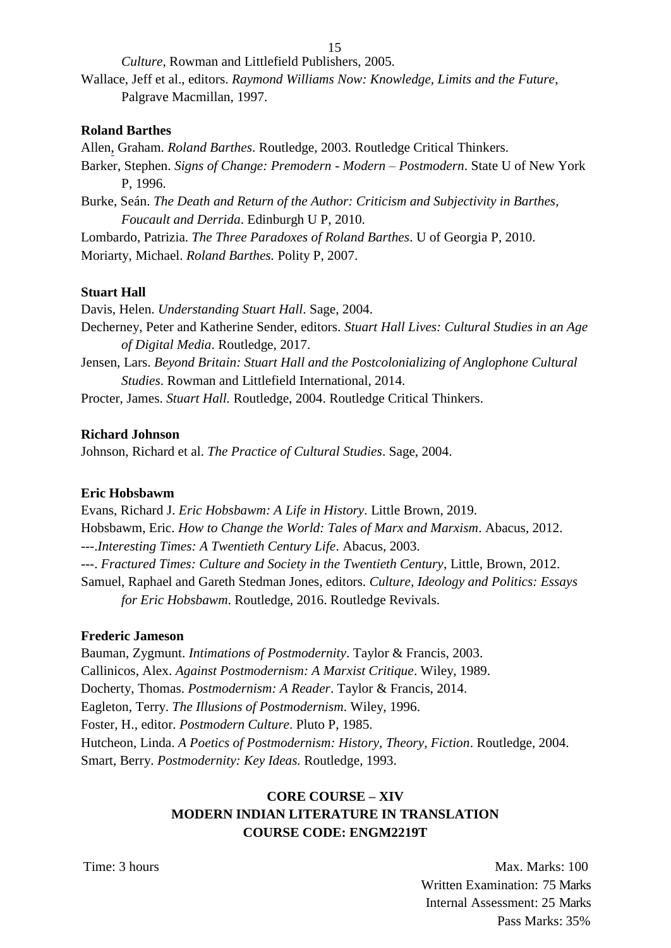*Culture*, Rowman and Littlefield Publishers, 2005.

Wallace, Jeff et al., editors. *Raymond Williams Now: Knowledge, Limits and the Future*, Palgrave Macmillan, 1997.

## **Roland Barthes**

Allen, Graham. *Roland Barthes*. Routledge, 2003. Routledge Critical Thinkers.

Barker, Stephen. *Signs of Change: Premodern - Modern – Postmodern*. State U of New York P, 1996.

Burke, Seán. *The Death and Return of the Author: Criticism and Subjectivity in Barthes, Foucault and Derrida*. Edinburgh U P, 2010.

[Lombardo, P](https://www.google.co.in/search?tbo=p&tbm=bks&q=inauthor%3A%22Patrizia%2BLombardo%22)atrizia. *The Three Paradoxes of Roland Barthes*. U of Georgia P, 2010. [Moriarty, M](https://www.google.co.in/search?tbo=p&tbm=bks&q=inauthor%3A%22Michael%2BMoriarty%22)ichael. *Roland Barthes.* Polity P, 2007.

## **Stuart Hall**

Davis, Helen. *Understanding Stuart Hall*. Sage, 2004.

Decherney, Peter and Katherine Sender, editors. *Stuart Hall Lives: Cultural Studies in an Age of Digital Media*. Routledge, 2017.

Jensen, Lars. *Beyond Britain: Stuart Hall and the Postcolonializing of Anglophone Cultural Studies*. Rowman and Littlefield International, 2014.

Procter, James. *Stuart Hall.* Routledge, 2004. Routledge Critical Thinkers.

## **Richard Johnson**

Johnson, Richard et al. *The Practice of Cultural Studies*. Sage, 2004.

## **Eric Hobsbawm**

Evans, Richard J. *Eric Hobsbawm: A Life in History*. Little Brown, 2019. Hobsbawm, Eric. *How to Change the World: Tales of Marx and Marxism*. Abacus, 2012. ---.*Interesting Times: A Twentieth Century Life*. Abacus, 2003. ---. *Fractured Times: Culture and Society in the Twentieth Century*, Little, Brown, 2012. Samuel, Raphael and Gareth Stedman Jones, editors. *Culture, Ideology and Politics: Essays for Eric Hobsbawm*. Routledge, 2016. Routledge Revivals.

## **Frederic Jameson**

Bauman, Zygmunt. *Intimations of Postmodernity*. Taylor & Francis, 2003. Callinicos, Alex. *Against Postmodernism: A Marxist Critique*. Wiley, 1989. Docherty, Thomas. *Postmodernism: A Reader*. Taylor & Francis, 2014. Eagleton, Terry. *The Illusions of Postmodernism*. Wiley, 1996. Foster, H., editor. *Postmodern Culture*. Pluto P, 1985. Hutcheon, Linda. *A Poetics of Postmodernism: History, Theory, Fiction*. Routledge, 2004. Smart, Berry. *Postmodernity: Key Ideas.* Routledge, 1993.

# **CORE COURSE – XIV MODERN INDIAN LITERATURE IN TRANSLATION COURSE CODE: ENGM2219T**

Time: 3 hours Max. Marks: 100 Written Examination: 75 Marks Internal Assessment: 25 Marks Pass Marks: 35%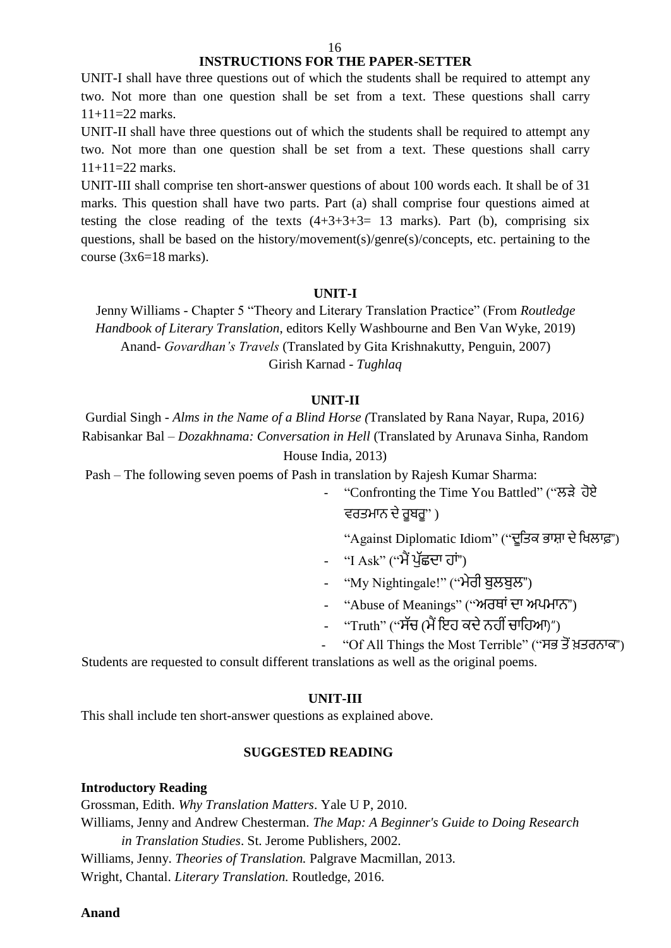## **INSTRUCTIONS FOR THE PAPER-SETTER**

UNIT-I shall have three questions out of which the students shall be required to attempt any two. Not more than one question shall be set from a text. These questions shall carry  $11+11=22$  marks.

UNIT-II shall have three questions out of which the students shall be required to attempt any two. Not more than one question shall be set from a text. These questions shall carry  $11+11=22$  marks.

UNIT-III shall comprise ten short-answer questions of about 100 words each. It shall be of 31 marks. This question shall have two parts. Part (a) shall comprise four questions aimed at testing the close reading of the texts  $(4+3+3+3=13$  marks). Part (b), comprising six questions, shall be based on the history/movement(s)/genre(s)/concepts, etc. pertaining to the course  $(3x6=18 \text{ marks})$ .

#### **UNIT-I**

Jenny Williams - Chapter 5 "Theory and Literary Translation Practice" (From *Routledge Handbook of Literary Translation*, editors Kelly Washbourne and Ben Van Wyke, 2019) Anand- *Govardhan's Travels* (Translated by Gita Krishnakutty, Penguin, 2007) Girish Karnad - *Tughlaq*

#### **UNIT-II**

Gurdial Singh - *Alms in the Name of a Blind Horse (*Translated by Rana Nayar, Rupa, 2016*)*  Rabisankar Bal – *Dozakhnama: Conversation in Hell* (Translated by Arunava Sinha, Random House India, 2013)

Pash – The following seven poems of Pash in translation by Rajesh Kumar Sharma:

"Confronting the Time You Battled" ("ਲੜੇ ਹੋਏ ਵਰਤਮਾਨ ਦੇ ਰੁਬਰੂ" )

"Against Diplomatic Idiom" ("ਦੁਤਿਕ ਭਾਸ਼ਾ ਦੇ ਖਿਲਾਫ਼")

- "I Ask" ("ਮੈਂ ਪੱਛਦਾ ਹਾਂ")
- "My Nightingale!" ("ਮੇਰੀ ਬੁਲਬੁਲ")
- "Abuse of Meanings" ("ਅਰਥਾਂ ਦਾ ਅਪਮਾਨ")
- "Truth" ("ਸੱਚ (ਮੈਂ ਇਹ ਕਦੇ ਨਹੀਂ ਚਾਹਿਆ)")
- "Of All Things the Most Terrible" ("ਸਭ ਤੋਂ ਖ਼ਤਰਨਾਕ")

Students are requested to consult different translations as well as the original poems.

#### **UNIT-III**

This shall include ten short-answer questions as explained above.

#### **SUGGESTED READING**

#### **Introductory Reading**

Grossman, Edith. *Why Translation Matters*. Yale U P, 2010. Williams, Jenny and Andrew Chesterman. *The Map: A Beginner's Guide to Doing Research in Translation Studies*. St. Jerome Publishers, 2002. Williams, Jenny. *Theories of Translation.* Palgrave Macmillan, 2013. Wright, Chantal. *Literary Translation.* Routledge, 2016.

**Anand**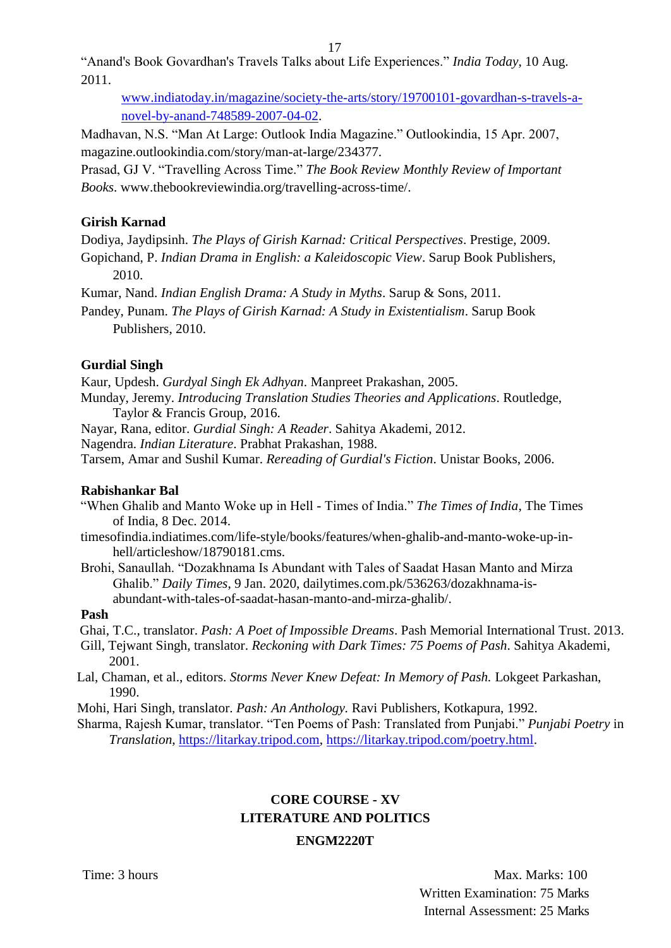"Anand's Book Govardhan's Travels Talks about Life Experiences." *India Today*, 10 Aug. 2011.

[www.indiatoday.in/magazine/society-the-arts/story/19700101-govardhan-s-travels-a](http://www.indiatoday.in/magazine/society-the-arts/story/19700101-govardhan-s-travels-a-novel-by-anand-748589-2007-04-02)[novel-by-anand-748589-2007-04-02.](http://www.indiatoday.in/magazine/society-the-arts/story/19700101-govardhan-s-travels-a-novel-by-anand-748589-2007-04-02)

Madhavan, N.S. "Man At Large: Outlook India Magazine." Outlookindia, 15 Apr. 2007, magazine.outlookindia.com/story/man-at-large/234377.

Prasad, GJ V. "Travelling Across Time." *The Book Review Monthly Review of Important Books*. [www.thebookreviewindia.org/travelling-across-time/.](http://www.thebookreviewindia.org/travelling-across-time/)

## **Girish Karnad**

Dodiya, Jaydipsinh. *The Plays of Girish Karnad: Critical Perspectives*. Prestige, 2009.

Gopichand, P. *Indian Drama in English: a Kaleidoscopic View*. Sarup Book Publishers, 2010.

Kumar, Nand. *Indian English Drama: A Study in Myths*. Sarup & Sons, 2011.

Pandey, Punam. *The Plays of Girish Karnad: A Study in Existentialism*. Sarup Book Publishers, 2010.

## **Gurdial Singh**

Kaur, Updesh. *Gurdyal Singh Ek Adhyan*. Manpreet Prakashan, 2005.

Munday, Jeremy. *Introducing Translation Studies Theories and Applications*. Routledge, Taylor & Francis Group, 2016.

Nayar, Rana, editor. *Gurdial Singh: A Reader*. Sahitya Akademi, 2012.

Nagendra. *Indian Literature*. Prabhat Prakashan, 1988.

Tarsem, Amar and Sushil Kumar. *Rereading of Gurdial's Fiction*. Unistar Books, 2006.

## **Rabishankar Bal**

- "When Ghalib and Manto Woke up in Hell Times of India." *The Times of India*, The Times of India, 8 Dec. 2014.
- timesofindia.indiatimes.com/life-style/books/features/when-ghalib-and-manto-woke-up-inhell/articleshow/18790181.cms.
- Brohi, Sanaullah. "Dozakhnama Is Abundant with Tales of Saadat Hasan Manto and Mirza Ghalib." *Daily Times*, 9 Jan. 2020, dailytimes.com.pk/536263/dozakhnama-isabundant-with-tales-of-saadat-hasan-manto-and-mirza-ghalib/.

## **Pash**

Ghai, T.C., translator. *Pash: A Poet of Impossible Dreams*. Pash Memorial International Trust. 2013.

Gill, Tejwant Singh, translator. *Reckoning with Dark Times: 75 Poems of Pash*. Sahitya Akademi, 2001.

Lal, Chaman, et al., editors. *Storms Never Knew Defeat: In Memory of Pash.* Lokgeet Parkashan, 1990.

Mohi, Hari Singh, translator. *Pash: An Anthology.* Ravi Publishers, Kotkapura, 1992.

Sharma, Rajesh Kumar, translator. "Ten Poems of Pash: Translated from Punjabi." *Punjabi Poetry* in *Translation,* [https://litarkay.tripod.com,](https://litarkay.tripod.com/) [https://litarkay.tripod.com/poetry.html.](https://litarkay.tripod.com/poetry.html)

# **CORE COURSE - XV LITERATURE AND POLITICS ENGM2220T**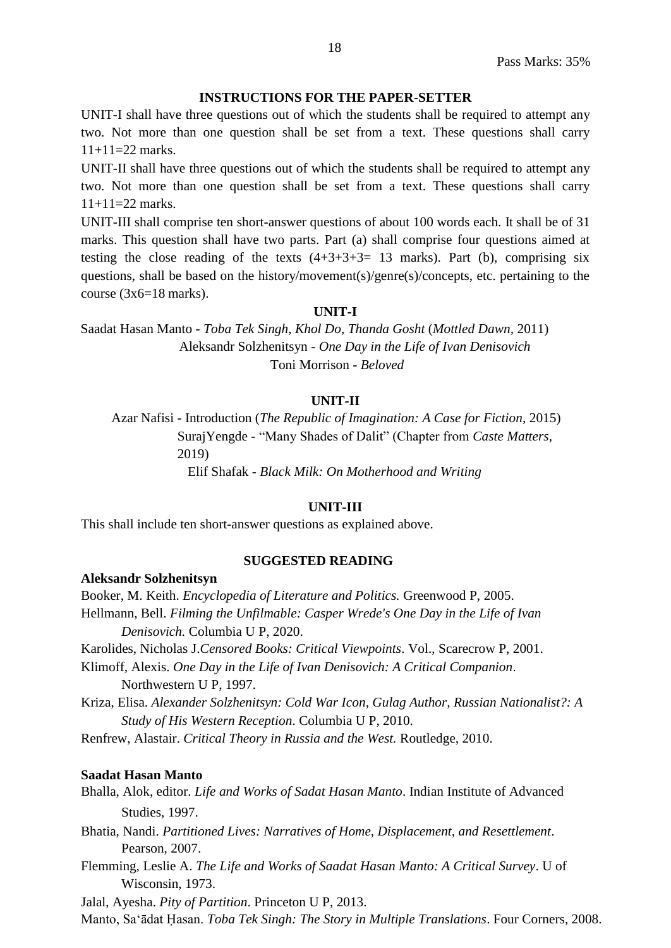## **INSTRUCTIONS FOR THE PAPER-SETTER**

UNIT-I shall have three questions out of which the students shall be required to attempt any two. Not more than one question shall be set from a text. These questions shall carry  $11+11=22$  marks.

UNIT-II shall have three questions out of which the students shall be required to attempt any two. Not more than one question shall be set from a text. These questions shall carry  $11+11=22$  marks.

UNIT-III shall comprise ten short-answer questions of about 100 words each. It shall be of 31 marks. This question shall have two parts. Part (a) shall comprise four questions aimed at testing the close reading of the texts  $(4+3+3+3=13$  marks). Part (b), comprising six questions, shall be based on the history/movement(s)/genre(s)/concepts, etc. pertaining to the course  $(3x6=18 \text{ marks})$ .

### **UNIT-I**

Saadat Hasan Manto - *Toba Tek Singh*, *Khol Do*, *Thanda Gosht* (*Mottled Dawn,* 2011) Aleksandr Solzhenitsyn - *One Day in the Life of Ivan Denisovich* Toni Morrison - *Beloved*

#### **UNIT-II**

Azar Nafisi - Introduction (*The Republic of Imagination: A Case for Fiction*, 2015) SurajYengde - "Many Shades of Dalit" (Chapter from *Caste Matters*, 2019)

Elif Shafak - *Black Milk: On Motherhood and Writing*

## **UNIT-III**

This shall include ten short-answer questions as explained above.

#### **SUGGESTED READING**

#### **Aleksandr Solzhenitsyn**

[Booker, M. Keith.](https://www.google.co.in/search?tbo=p&tbm=bks&q=inauthor%3A%22M.%2BKeith%2BBooker%22) *Encyclopedia of Literature and Politics.* Greenwood P, 2005. [Hellmann, B](https://www.google.co.in/search?tbo=p&tbm=bks&q=inauthor%3A%22Ben%2BHellmann%22)ell. *Filming the Unfilmable: Casper Wrede's One Day in the Life of Ivan Denisovich.* Columbia U P, 2020.

[Karolides, Nicholas J.](https://www.google.co.in/search?tbo=p&tbm=bks&q=inauthor%3A%22Nicholas%2BJ.%2BKarolides%22)*Censored Books: Critical Viewpoints*. Vol., Scarecrow P, 2001.

- [Klimoff, A](https://www.google.co.in/search?tbo=p&tbm=bks&q=inauthor%3A%22Alexis%2BKlimoff%22)lexis. *One Day in the Life of Ivan Denisovich: A Critical Companion*. Northwestern U P, 1997.
- [Kriza,](https://www.google.co.in/search?tbo=p&tbm=bks&q=inauthor%3A%22Elisa%2BKriza%22) Elisa. *Alexander Solzhenitsyn: Cold War Icon, Gulag Author, Russian Nationalist?: A Study of His Western Reception*. Columbia U P, 2010.
- Renfrew, Alastair. *Critical Theory in Russia and the West.* Routledge, 2010.

#### **Saadat Hasan Manto**

Bhalla, Alok, editor. *Life and Works of Sadat Hasan Manto*. Indian Institute of Advanced Studies, 1997.

[Bhatia, N](https://www.google.co.in/search?tbo=p&tbm=bks&q=inauthor%3A%22Nandi%2BBhatia%22)andi. *Partitioned Lives: Narratives of Home, Displacement, and Resettlement*. Pearson, 2007.

[Flemming, Leslie A.](https://www.google.co.in/search?tbo=p&tbm=bks&q=inauthor%3A%22Leslie%2BA.%2BFlemming%22) *The Life and Works of Saadat Hasan Manto: A Critical Survey*. U of Wisconsin, 1973.

Jalal, [Ayesha.](https://www.google.co.in/search?tbo=p&tbm=bks&q=inauthor%3A%22Ayesha%2BJalal%22) *Pity of Partition*. Princeton U P, 2013.

[Manto, Saʻādat Ḥasan.](https://www.google.co.in/search?tbo=p&tbm=bks&q=inauthor%3A%22Sa%CA%BB%C4%81dat%2B%E1%B8%A4asan%2BMan%E1%B9%ADo%22) *Toba Tek Singh: The Story in Multiple Translations*. Four Corners, 2008.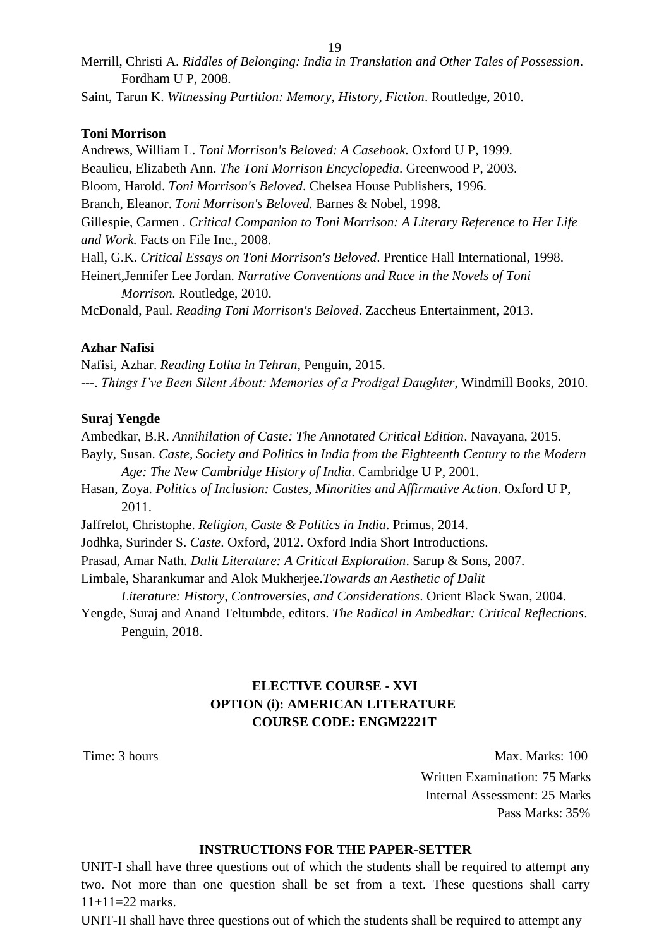[Merrill, Christi A.](https://www.google.co.in/search?tbo=p&tbm=bks&q=inauthor%3A%22Christi%2BA.%2BMerrill%22) *Riddles of Belonging: India in Translation and Other Tales of Possession*. Fordham U P, 2008.

[Saint, Tarun K.](https://www.google.co.in/search?tbo=p&tbm=bks&q=inauthor%3A%22Tarun%2BK.%2BSaint%22) *Witnessing Partition: Memory, History, Fiction*. Routledge, 2010.

## **Toni Morrison**

[Andrews, William L.](https://www.google.co.in/search?tbo=p&tbm=bks&q=inauthor%3A%22William%2BL.%2BAndrews%22) *Toni Morrison's Beloved: A Casebook.* Oxford U P, 1999. Beaulieu, Elizabeth Ann. *The Toni Morrison Encyclopedia*. Greenwood P, 2003. [Bloom, Harold.](https://www.google.co.in/search?tbo=p&tbm=bks&q=inauthor%3A%22Harold%2BBloom%22) *Toni Morrison's Beloved*. Chelsea House Publishers, 1996. [Branch, E](https://www.google.co.in/search?tbo=p&tbm=bks&q=inauthor%3A%22Eleanor%2BBranch%22)leanor. *Toni Morrison's Beloved.* Barnes & Nobel, 1998. [Gillespie, Carmen .](https://www.google.co.in/search?tbo=p&tbm=bks&q=inauthor%3A%22Carmen%2BGillespie%22) *Critical Companion to Toni Morrison: A Literary Reference to Her Life and Work.* Facts on File Inc., 2008. Hall, G.K. *Critical Essays on Toni Morrison's Beloved*. Prentice Hall International, 1998. [Heinert,Jennifer Lee Jordan.](https://www.google.co.in/search?tbo=p&tbm=bks&q=inauthor%3A%22Jennifer%2BLee%2BJordan%2BHeinert%22) *Narrative Conventions and Race in the Novels of Toni Morrison.* Routledge, 2010. [McDonald, P](https://www.google.co.in/search?tbo=p&tbm=bks&q=inauthor%3A%22Paul%2BMcDonald%22)aul. *Reading Toni Morrison's Beloved*. Zaccheus Entertainment, 2013.

## **Azhar Nafisi**

Nafisi, Azhar. *Reading Lolita in Tehran*, Penguin, 2015. ---. *Things I've Been Silent About: Memories of a Prodigal Daughter*, Windmill Books, 2010.

### **Suraj Yengde**

Ambedkar, B.R. *Annihilation of Caste: The Annotated Critical Edition*. Navayana, 2015. Bayly, Susan. *Caste, Society and Politics in India from the Eighteenth Century to the Modern Age: The New Cambridge History of India*. Cambridge U P, 2001. Hasan, Zoya. *Politics of Inclusion: Castes, Minorities and Affirmative Action*. Oxford U P, 2011. Jaffrelot, Christophe. *Religion, Caste & Politics in India*. Primus, 2014. Jodhka, Surinder S. *Caste*. Oxford, 2012. Oxford India Short Introductions. Pras[ad, Amar Nath.](https://www.google.co.in/search?tbo=p&tbm=bks&q=inauthor%3A%22Amar%2BNath%2BPrasad%22) *Dalit Literature: A Critical Exploration*. Sarup & Sons, 2007. Limbale, Sharankumar and [Alok Mukherjee.](https://www.google.co.in/search?tbo=p&tbm=bks&q=inauthor%3A%22Alok%2BMukherjee%2B(of%2BYork%2BUniversity%2C%2BCanada.)%22)*Towards an Aesthetic of Dalit Literature: History, Controversies, and Considerations*. Orient Black Swan, 2004.

Yengde, Suraj and Anand Teltumbde, editors. *The Radical in Ambedkar: Critical Reflections*. Penguin, 2018.

## **ELECTIVE COURSE - XVI OPTION (i): AMERICAN LITERATURE COURSE CODE: ENGM2221T**

Time: 3 hours Max. Marks: 100 Written Examination: 75 Marks Internal Assessment: 25 Marks Pass Marks: 35%

### **INSTRUCTIONS FOR THE PAPER-SETTER**

UNIT-I shall have three questions out of which the students shall be required to attempt any two. Not more than one question shall be set from a text. These questions shall carry 11+11=22 marks.

UNIT-II shall have three questions out of which the students shall be required to attempt any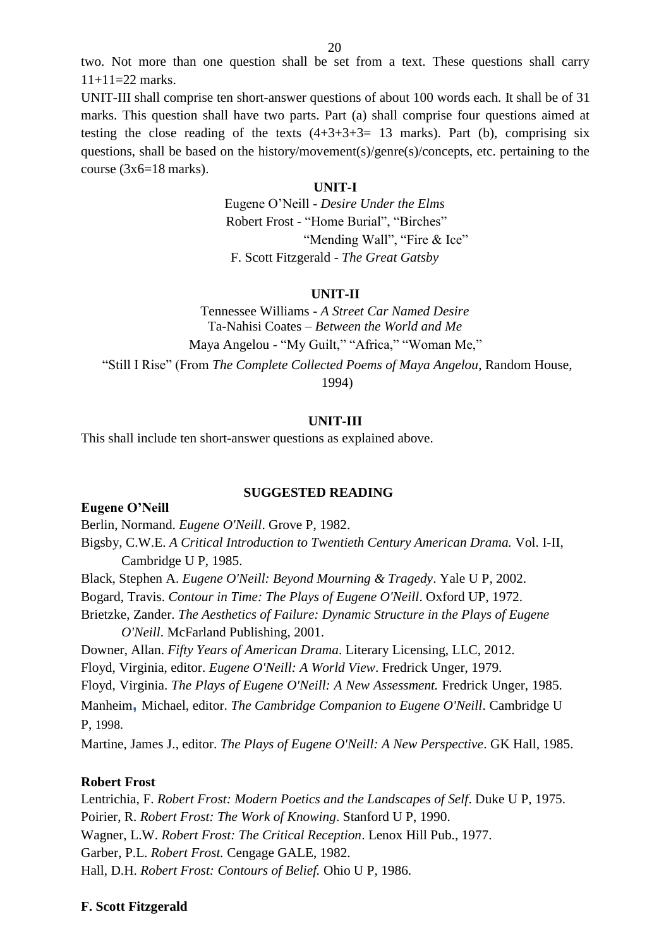two. Not more than one question shall be set from a text. These questions shall carry  $11+11=22$  marks.

UNIT-III shall comprise ten short-answer questions of about 100 words each. It shall be of 31 marks. This question shall have two parts. Part (a) shall comprise four questions aimed at testing the close reading of the texts  $(4+3+3+3=13$  marks). Part (b), comprising six questions, shall be based on the history/movement(s)/genre(s)/concepts, etc. pertaining to the course (3x6=18 marks).

#### **UNIT-I**

Eugene O'Neill - *Desire Under the Elms* Robert Frost - "Home Burial", "Birches" "Mending Wall", "Fire & Ice" F. Scott Fitzgerald - *The Great Gatsby*

#### **UNIT-II**

Tennessee Williams - *A Street Car Named Desire* Ta-Nahisi Coates – *Between the World and Me* Maya Angelou - "My Guilt," "Africa," "Woman Me," "Still I Rise" (From *The Complete Collected Poems of Maya Angelou*, Random House, 1994)

#### **UNIT-III**

This shall include ten short-answer questions as explained above.

#### **SUGGESTED READING**

**Eugene O'Neill** Berlin, Normand. *Eugene O'Neill*. Grove P, 1982. Bigsby, C.W.E. *A Critical Introduction to Twentieth Century American Drama.* Vol. I-II, Cambridge U P, 1985. Black, Stephen A. *Eugene O'Neill: Beyond Mourning & Tragedy*. Yale U P, 2002. Bogard, Travis. *Contour in Time: The Plays of Eugene O'Neill*. Oxford UP, 1972. Brietzke, Zander. *The Aesthetics of Failure: Dynamic Structure in the Plays of Eugene O'Neill*. McFarland Publishing, 2001. Downer, Allan. *Fifty Years of American Drama*. Literary Licensing, LLC, 2012. Floyd, Virginia, editor. *Eugene O'Neill: A World View*. Fredrick Unger, 1979. Floyd, Virginia. *The Plays of Eugene O'Neill: A New Assessment.* Fredrick Unger, 1985. [Manheim](https://www.google.co.in/search?tbo=p&tbm=bks&q=inauthor%3A%22Michael%2BManheim%22)**,** Michael, editor. *The Cambridge Companion to Eugene O'Neill*. Cambridge U P, 1998. Martine, James J., editor. *The Plays of Eugene O'Neill: A New Perspective*. GK Hall, 1985.

### **Robert Frost**

Lentrichia, F. *Robert Frost: Modern Poetics and the Landscapes of Self*. Duke U P, 1975. Poirier, R. *Robert Frost: The Work of Knowing*. Stanford U P, 1990. Wagner, L.W. *Robert Frost: The Critical Reception*. Lenox Hill Pub., 1977. Garber, P.L. *Robert Frost.* Cengage GALE, 1982. Hall, D.H. *Robert Frost: Contours of Belief.* Ohio U P, 1986.

#### **F. Scott Fitzgerald**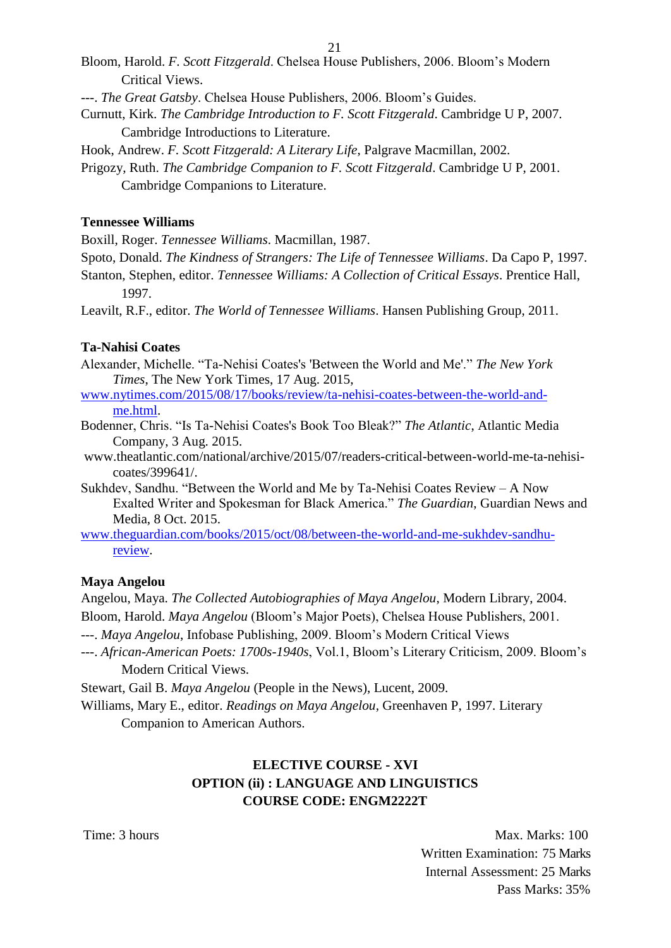- Bloom, Harold. *F. Scott Fitzgerald*. Chelsea House Publishers, 2006. Bloom's Modern Critical Views.
- ---. *The Great Gatsby*. Chelsea House Publishers, 2006. Bloom's Guides.
- Curnutt, Kirk. *The Cambridge Introduction to F. Scott Fitzgerald*. Cambridge U P, 2007. Cambridge Introductions to Literature.
- Hook, Andrew. *F. Scott Fitzgerald: A Literary Life*, Palgrave Macmillan, 2002.
- Prigozy, Ruth. *The Cambridge Companion to F. Scott Fitzgerald*. Cambridge U P, 2001. Cambridge Companions to Literature.

## **Tennessee Williams**

Boxill, Roger. *Tennessee Williams*. Macmillan, 1987.

- Spoto, Donald. *The Kindness of Strangers: The Life of Tennessee Williams*. Da Capo P, 1997.
- Stanton, Stephen, editor. *Tennessee Williams: A Collection of Critical Essays*. Prentice Hall, 1997.

Leavilt, R.F., editor. *The World of Tennessee Williams*. Hansen Publishing Group, 2011.

## **Ta-Nahisi Coates**

- Alexander, Michelle. "Ta-Nehisi Coates's 'Between the World and Me'." *The New York Times*, The New York Times, 17 Aug. 2015,
- [www.nytimes.com/2015/08/17/books/review/ta-nehisi-coates-between-the-world-and](http://www.nytimes.com/2015/08/17/books/review/ta-nehisi-coates-between-the-world-and-me.html)[me.html.](http://www.nytimes.com/2015/08/17/books/review/ta-nehisi-coates-between-the-world-and-me.html)
- Bodenner, Chris. "Is Ta-Nehisi Coates's Book Too Bleak?" *The Atlantic*, Atlantic Media Company, 3 Aug. 2015.
- [www.theatlantic.com/national/archive/2015/07/readers-critical-between-world-me-ta-nehisi](http://www.theatlantic.com/national/archive/2015/07/readers-critical-between-world-me-ta-nehisi-)coates/399641/.
- Sukhdev, Sandhu. "Between the World and Me by Ta-Nehisi Coates Review A Now Exalted Writer and Spokesman for Black America." *The Guardian*, Guardian News and Media, 8 Oct. 2015.
- [www.theguardian.com/books/2015/oct/08/between-the-world-and-me-sukhdev-sandhu](http://www.theguardian.com/books/2015/oct/08/between-the-world-and-me-sukhdev-sandhu-review)[review.](http://www.theguardian.com/books/2015/oct/08/between-the-world-and-me-sukhdev-sandhu-review)

## **Maya Angelou**

Angelou, Maya. *The Collected Autobiographies of Maya Angelou*, Modern Library, 2004. Bloom, Harold. *Maya Angelou* (Bloom's Major Poets), Chelsea House Publishers, 2001.

- ---. *Maya Angelou*, Infobase Publishing, 2009. Bloom's Modern Critical Views
- ---. *African-American Poets: 1700s-1940s*, Vol.1, Bloom's Literary Criticism, 2009. Bloom's Modern Critical Views.

Stewart, Gail B. *Maya Angelou* (People in the News), Lucent, 2009.

Williams, Mary E., editor. *Readings on Maya Angelou*, Greenhaven P, 1997. Literary

Companion to American Authors.

# **ELECTIVE COURSE - XVI OPTION (ii) : LANGUAGE AND LINGUISTICS COURSE CODE: ENGM2222T**

Time: 3 hours Max. Marks: 100 Written Examination: 75 Marks Internal Assessment: 25 Marks Pass Marks: 35%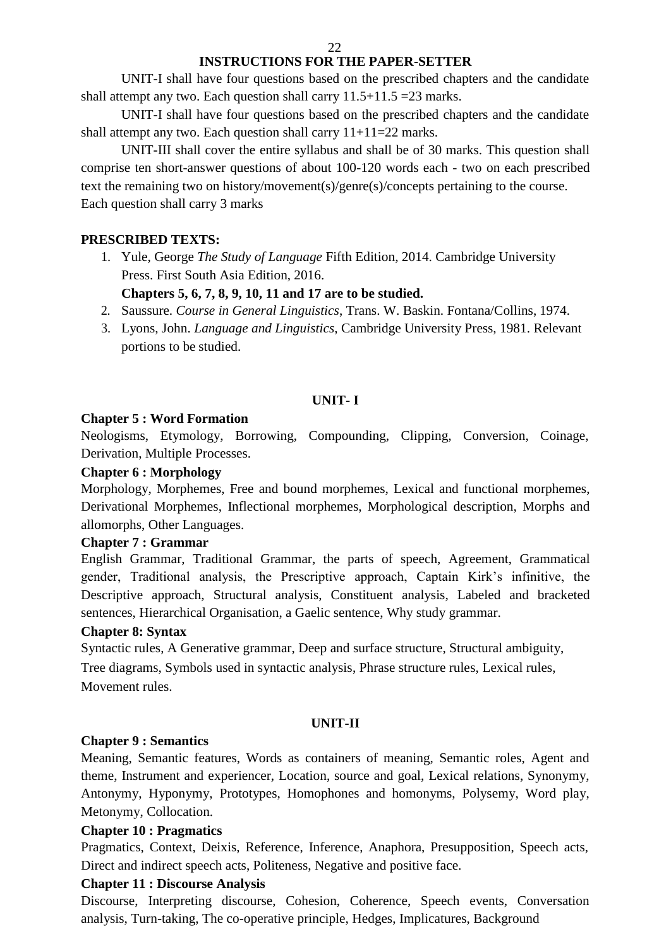## **INSTRUCTIONS FOR THE PAPER-SETTER**

UNIT-I shall have four questions based on the prescribed chapters and the candidate shall attempt any two. Each question shall carry  $11.5+11.5=23$  marks.

UNIT-I shall have four questions based on the prescribed chapters and the candidate shall attempt any two. Each question shall carry  $11+11=22$  marks.

UNIT-III shall cover the entire syllabus and shall be of 30 marks. This question shall comprise ten short-answer questions of about 100-120 words each - two on each prescribed text the remaining two on history/movement(s)/genre(s)/concepts pertaining to the course. Each question shall carry 3 marks

## **PRESCRIBED TEXTS:**

1. Yule, George *The Study of Language* Fifth Edition, 2014. Cambridge University Press. First South Asia Edition, 2016.

## **Chapters 5, 6, 7, 8, 9, 10, 11 and 17 are to be studied.**

- 2. Saussure. *Course in General Linguistics*, Trans. W. Baskin. Fontana/Collins, 1974.
- 3. Lyons, John. *Language and Linguistics*, Cambridge University Press, 1981. Relevant portions to be studied.

## **UNIT- I**

## **Chapter 5 : Word Formation**

Neologisms, Etymology, Borrowing, Compounding, Clipping, Conversion, Coinage, Derivation, Multiple Processes.

## **Chapter 6 : Morphology**

Morphology, Morphemes, Free and bound morphemes, Lexical and functional morphemes, Derivational Morphemes, Inflectional morphemes, Morphological description, Morphs and allomorphs, Other Languages.

## **Chapter 7 : Grammar**

English Grammar, Traditional Grammar, the parts of speech, Agreement, Grammatical gender, Traditional analysis, the Prescriptive approach, Captain Kirk's infinitive, the Descriptive approach, Structural analysis, Constituent analysis, Labeled and bracketed sentences, Hierarchical Organisation, a Gaelic sentence, Why study grammar.

## **Chapter 8: Syntax**

Syntactic rules, A Generative grammar, Deep and surface structure, Structural ambiguity, Tree diagrams, Symbols used in syntactic analysis, Phrase structure rules, Lexical rules, Movement rules.

## **UNIT-II**

## **Chapter 9 : Semantics**

Meaning, Semantic features, Words as containers of meaning, Semantic roles, Agent and theme, Instrument and experiencer, Location, source and goal, Lexical relations, Synonymy, Antonymy, Hyponymy, Prototypes, Homophones and homonyms, Polysemy, Word play, Metonymy, Collocation.

## **Chapter 10 : Pragmatics**

Pragmatics, Context, Deixis, Reference, Inference, Anaphora, Presupposition, Speech acts, Direct and indirect speech acts, Politeness, Negative and positive face.

## **Chapter 11 : Discourse Analysis**

Discourse, Interpreting discourse, Cohesion, Coherence, Speech events, Conversation analysis, Turn-taking, The co-operative principle, Hedges, Implicatures, Background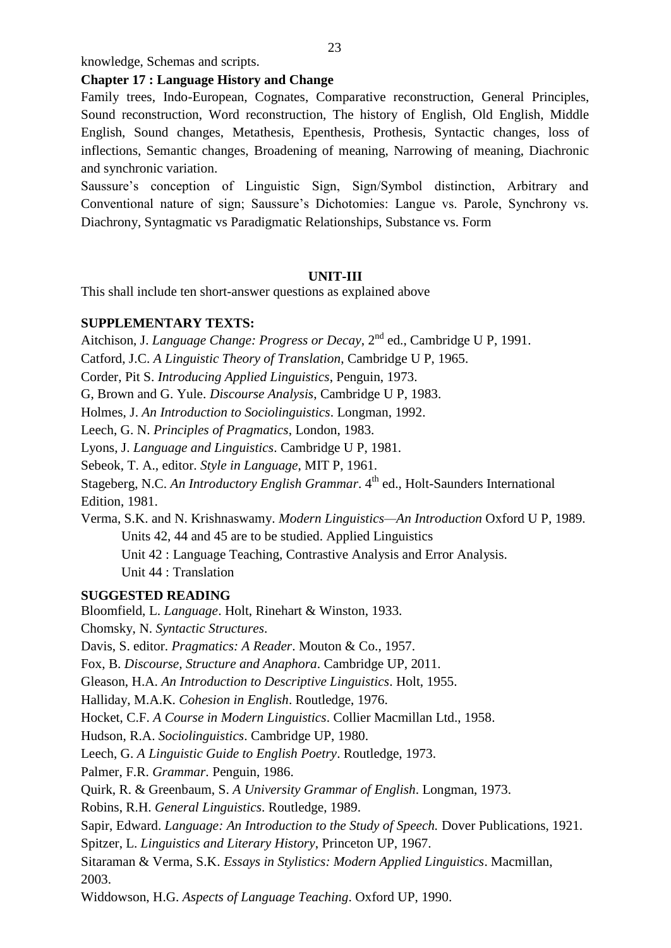knowledge, Schemas and scripts.

#### **Chapter 17 : Language History and Change**

Family trees, Indo-European, Cognates, Comparative reconstruction, General Principles, Sound reconstruction, Word reconstruction, The history of English, Old English, Middle English, Sound changes, Metathesis, Epenthesis, Prothesis, Syntactic changes, loss of inflections, Semantic changes, Broadening of meaning, Narrowing of meaning, Diachronic and synchronic variation.

Saussure's conception of Linguistic Sign, Sign/Symbol distinction, Arbitrary and Conventional nature of sign; Saussure's Dichotomies: Langue vs. Parole, Synchrony vs. Diachrony, Syntagmatic vs Paradigmatic Relationships, Substance vs. Form

#### **UNIT-III**

This shall include ten short-answer questions as explained above

## **SUPPLEMENTARY TEXTS:**

Aitchison, J. *Language Change: Progress or Decay*, 2<sup>nd</sup> ed., Cambridge U P, 1991.

Catford, J.C. *A Linguistic Theory of Translation*, Cambridge U P, 1965.

Corder, Pit S. *Introducing Applied Linguistics*, Penguin, 1973.

G, Brown and G. Yule. *Discourse Analysis*, Cambridge U P, 1983.

Holmes, J. *An Introduction to Sociolinguistics*. Longman, 1992.

Leech, G. N. *Principles of Pragmatics*, London, 1983.

Lyons, J. *Language and Linguistics*. Cambridge U P, 1981.

Sebeok, T. A., editor. *Style in Language*, MIT P, 1961.

Stageberg, N.C. *An Introductory English Grammar*. 4<sup>th</sup> ed., Holt-Saunders International Edition, 1981.

Verma, S.K. and N. Krishnaswamy. *Modern Linguistics—An Introduction* Oxford U P, 1989. Units 42, 44 and 45 are to be studied. Applied Linguistics

Unit 42 : Language Teaching, Contrastive Analysis and Error Analysis.

Unit 44 : Translation

## **SUGGESTED READING**

Bloomfield, L. *Language*. Holt, Rinehart & Winston, 1933. Chomsky, N. *Syntactic Structures*. Davis, S. editor. *Pragmatics: A Reader*. Mouton & Co., 1957. Fox, B. *Discourse, Structure and Anaphora*. Cambridge UP, 2011. Gleason, H.A. *An Introduction to Descriptive Linguistics*. Holt, 1955. Halliday, M.A.K. *Cohesion in English*. Routledge, 1976. Hocket, C.F. *A Course in Modern Linguistics*. Collier Macmillan Ltd., 1958. Hudson, R.A. *Sociolinguistics*. Cambridge UP, 1980. Leech, G. *A Linguistic Guide to English Poetry*. Routledge, 1973. Palmer, F.R. *Grammar*. Penguin, 1986. Quirk, R. & Greenbaum, S. *A University Grammar of English*. Longman, 1973. Robins, R.H. *General Linguistics*. Routledge, 1989. Sapir, Edward. *Language: An Introduction to the Study of Speech*. Dover Publications, 1921. Spitzer, L. *Linguistics and Literary History*, Princeton UP, 1967. Sitaraman & Verma, S.K. *Essays in Stylistics: Modern Applied Linguistics*. Macmillan, 2003.

Widdowson, H.G. *Aspects of Language Teaching*. Oxford UP, 1990.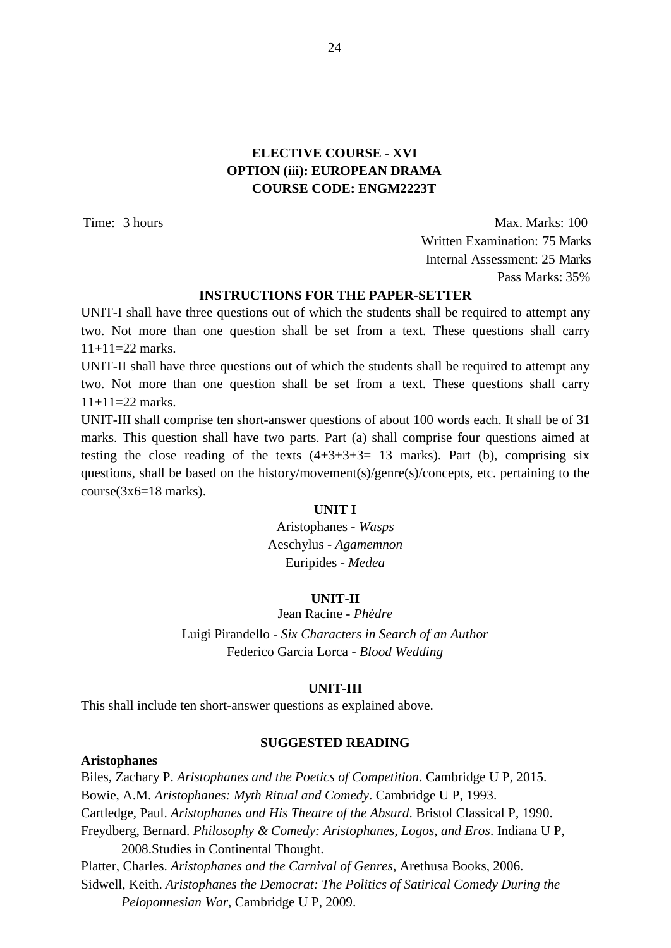## **ELECTIVE COURSE - XVI OPTION (iii): EUROPEAN DRAMA COURSE CODE: ENGM2223T**

Time: 3 hours Max. Marks: 100 Written Examination: 75 Marks Internal Assessment: 25 Marks Pass Marks: 35%

## **INSTRUCTIONS FOR THE PAPER-SETTER**

UNIT-I shall have three questions out of which the students shall be required to attempt any two. Not more than one question shall be set from a text. These questions shall carry  $11+11=22$  marks.

UNIT-II shall have three questions out of which the students shall be required to attempt any two. Not more than one question shall be set from a text. These questions shall carry  $11+11=22$  marks.

UNIT-III shall comprise ten short-answer questions of about 100 words each. It shall be of 31 marks. This question shall have two parts. Part (a) shall comprise four questions aimed at testing the close reading of the texts  $(4+3+3+3=13$  marks). Part (b), comprising six questions, shall be based on the history/movement(s)/genre(s)/concepts, etc. pertaining to the course(3x6=18 marks).

#### **UNIT I**

Aristophanes - *Wasps*  Aeschylus - *Agamemnon*  Euripides - *Medea*

#### **UNIT-II**

Jean Racine - *Phèdre*

Luigi Pirandello - *Six Characters in Search of an Author* Federico Garcia Lorca - *Blood Wedding*

#### **UNIT-III**

This shall include ten short-answer questions as explained above.

#### **SUGGESTED READING**

#### **Aristophanes**

Biles, Zachary P. *Aristophanes and the Poetics of Competition*. Cambridge U P, 2015. Bowie, A.M. *Aristophanes: Myth Ritual and Comedy*. Cambridge U P, 1993. Cartledge, Paul. *Aristophanes and His Theatre of the Absurd*. Bristol Classical P, 1990. Freydberg, Bernard. *Philosophy & Comedy: Aristophanes, Logos, and Eros*. Indiana U P, 2008.Studies in Continental Thought. Platter, Charles. *Aristophanes and the Carnival of Genres*, Arethusa Books, 2006. Sidwell, Keith. *Aristophanes the Democrat: The Politics of Satirical Comedy During the Peloponnesian War*, Cambridge U P, 2009.